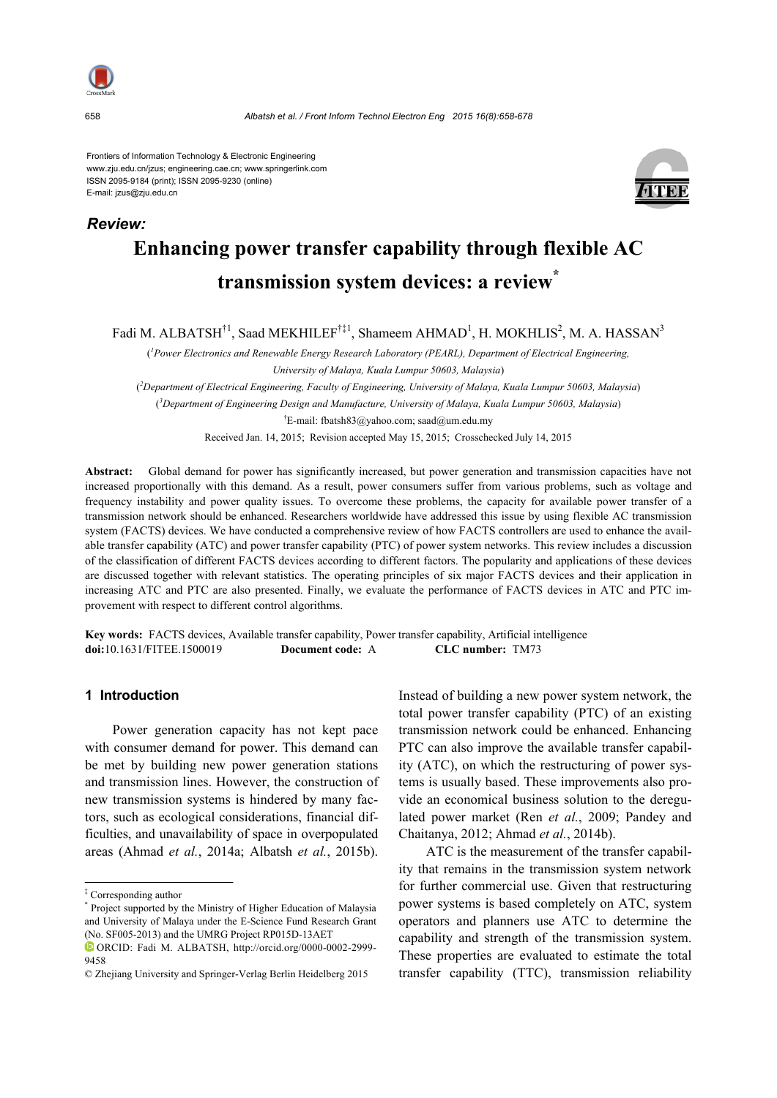

*Review:*

Frontiers of Information Technology & Electronic Engineering www.zju.edu.cn/jzus; engineering.cae.cn; www.springerlink.com ISSN 2095-9184 (print); ISSN 2095-9230 (online) E-mail: jzus@zju.edu.cn



# **Enhancing power transfer capability through flexible AC transmission system devices: a review\***

Fadi M. ALBATSH $^{\dagger 1}$ , Saad MEKHILEF $^{\dagger \ddagger 1}$ , Shameem AHMAD<sup>1</sup>, H. MOKHLIS<sup>2</sup>, M. A. HASSAN $^3$ 

( *1 Power Electronics and Renewable Energy Research Laboratory (PEARL), Department of Electrical Engineering, University of Malaya, Kuala Lumpur 50603, Malaysia*) ( *2 Department of Electrical Engineering, Faculty of Engineering, University of Malaya, Kuala Lumpur 50603, Malaysia*) ( *3 Department of Engineering Design and Manufacture, University of Malaya, Kuala Lumpur 50603, Malaysia*) † E-mail: fbatsh83@yahoo.com; saad@um.edu.my

Received Jan. 14, 2015; Revision accepted May 15, 2015; Crosschecked July 14, 2015

**Abstract:** Global demand for power has significantly increased, but power generation and transmission capacities have not increased proportionally with this demand. As a result, power consumers suffer from various problems, such as voltage and frequency instability and power quality issues. To overcome these problems, the capacity for available power transfer of a transmission network should be enhanced. Researchers worldwide have addressed this issue by using flexible AC transmission system (FACTS) devices. We have conducted a comprehensive review of how FACTS controllers are used to enhance the available transfer capability (ATC) and power transfer capability (PTC) of power system networks. This review includes a discussion of the classification of different FACTS devices according to different factors. The popularity and applications of these devices are discussed together with relevant statistics. The operating principles of six major FACTS devices and their application in increasing ATC and PTC are also presented. Finally, we evaluate the performance of FACTS devices in ATC and PTC improvement with respect to different control algorithms.

**Key words:** FACTS devices, Available transfer capability, Power transfer capability, Artificial intelligence **doi:**10.1631/FITEE.1500019 **Document code:** A **CLC number:** TM73

# **1 Introduction**

Power generation capacity has not kept pace with consumer demand for power. This demand can be met by building new power generation stations and transmission lines. However, the construction of new transmission systems is hindered by many factors, such as ecological considerations, financial difficulties, and unavailability of space in overpopulated areas (Ahmad *et al.*, 2014a; Albatsh *et al.*, 2015b).

Instead of building a new power system network, the total power transfer capability (PTC) of an existing transmission network could be enhanced. Enhancing PTC can also improve the available transfer capability (ATC), on which the restructuring of power systems is usually based. These improvements also provide an economical business solution to the deregulated power market (Ren *et al.*, 2009; Pandey and Chaitanya, 2012; Ahmad *et al.*, 2014b).

ATC is the measurement of the transfer capability that remains in the transmission system network for further commercial use. Given that restructuring power systems is based completely on ATC, system operators and planners use ATC to determine the capability and strength of the transmission system. These properties are evaluated to estimate the total transfer capability (TTC), transmission reliability

<sup>‡</sup> Corresponding author

<sup>\*</sup> Project supported by the Ministry of Higher Education of Malaysia and University of Malaya under the E-Science Fund Research Grant (No. SF005-2013) and the UMRG Project RP015D-13AET

ORCID: Fadi M. ALBATSH, http://orcid.org/0000-0002-2999- 9458

<sup>©</sup> Zhejiang University and Springer-Verlag Berlin Heidelberg 2015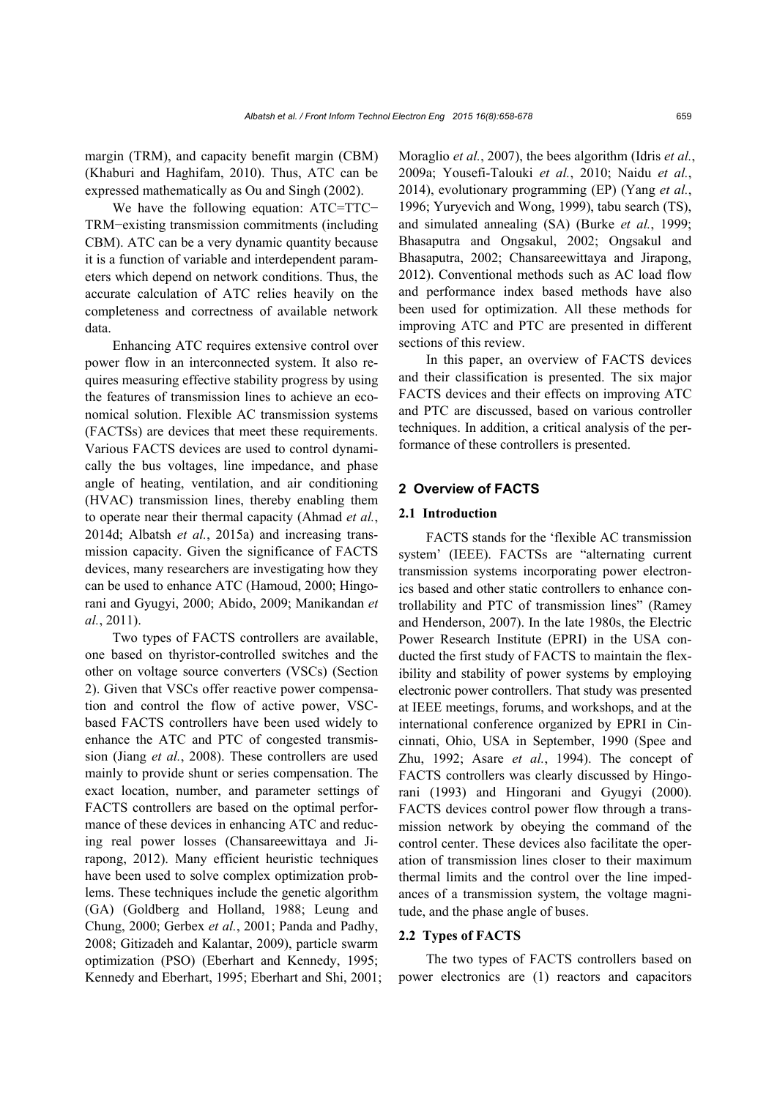margin (TRM), and capacity benefit margin (CBM) (Khaburi and Haghifam, 2010). Thus, ATC can be expressed mathematically as Ou and Singh (2002).

We have the following equation: ATC=TTC− TRM−existing transmission commitments (including CBM). ATC can be a very dynamic quantity because it is a function of variable and interdependent parameters which depend on network conditions. Thus, the accurate calculation of ATC relies heavily on the completeness and correctness of available network data.

Enhancing ATC requires extensive control over power flow in an interconnected system. It also requires measuring effective stability progress by using the features of transmission lines to achieve an economical solution. Flexible AC transmission systems (FACTSs) are devices that meet these requirements. Various FACTS devices are used to control dynamically the bus voltages, line impedance, and phase angle of heating, ventilation, and air conditioning (HVAC) transmission lines, thereby enabling them to operate near their thermal capacity (Ahmad *et al.*, 2014d; Albatsh *et al.*, 2015a) and increasing transmission capacity. Given the significance of FACTS devices, many researchers are investigating how they can be used to enhance ATC (Hamoud, 2000; Hingorani and Gyugyi, 2000; Abido, 2009; Manikandan *et al.*, 2011).

Two types of FACTS controllers are available, one based on thyristor-controlled switches and the other on voltage source converters (VSCs) (Section 2). Given that VSCs offer reactive power compensation and control the flow of active power, VSCbased FACTS controllers have been used widely to enhance the ATC and PTC of congested transmission (Jiang *et al.*, 2008). These controllers are used mainly to provide shunt or series compensation. The exact location, number, and parameter settings of FACTS controllers are based on the optimal performance of these devices in enhancing ATC and reducing real power losses (Chansareewittaya and Jirapong, 2012). Many efficient heuristic techniques have been used to solve complex optimization problems. These techniques include the genetic algorithm (GA) (Goldberg and Holland, 1988; Leung and Chung, 2000; Gerbex *et al.*, 2001; Panda and Padhy, 2008; Gitizadeh and Kalantar, 2009), particle swarm optimization (PSO) (Eberhart and Kennedy, 1995; Kennedy and Eberhart, 1995; Eberhart and Shi, 2001; Moraglio *et al.*, 2007), the bees algorithm (Idris *et al.*, 2009a; Yousefi-Talouki *et al.*, 2010; Naidu *et al.*, 2014), evolutionary programming (EP) (Yang *et al.*, 1996; Yuryevich and Wong, 1999), tabu search (TS), and simulated annealing (SA) (Burke *et al.*, 1999; Bhasaputra and Ongsakul, 2002; Ongsakul and Bhasaputra, 2002; Chansareewittaya and Jirapong, 2012). Conventional methods such as AC load flow and performance index based methods have also been used for optimization. All these methods for improving ATC and PTC are presented in different sections of this review.

In this paper, an overview of FACTS devices and their classification is presented. The six major FACTS devices and their effects on improving ATC and PTC are discussed, based on various controller techniques. In addition, a critical analysis of the performance of these controllers is presented.

# **2 Overview of FACTS**

#### **2.1 Introduction**

FACTS stands for the 'flexible AC transmission system' (IEEE). FACTSs are "alternating current transmission systems incorporating power electronics based and other static controllers to enhance controllability and PTC of transmission lines" (Ramey and Henderson, 2007). In the late 1980s, the Electric Power Research Institute (EPRI) in the USA conducted the first study of FACTS to maintain the flexibility and stability of power systems by employing electronic power controllers. That study was presented at IEEE meetings, forums, and workshops, and at the international conference organized by EPRI in Cincinnati, Ohio, USA in September, 1990 (Spee and Zhu, 1992; Asare *et al.*, 1994). The concept of FACTS controllers was clearly discussed by Hingorani (1993) and Hingorani and Gyugyi (2000). FACTS devices control power flow through a transmission network by obeying the command of the control center. These devices also facilitate the operation of transmission lines closer to their maximum thermal limits and the control over the line impedances of a transmission system, the voltage magnitude, and the phase angle of buses.

# **2.2 Types of FACTS**

The two types of FACTS controllers based on power electronics are (1) reactors and capacitors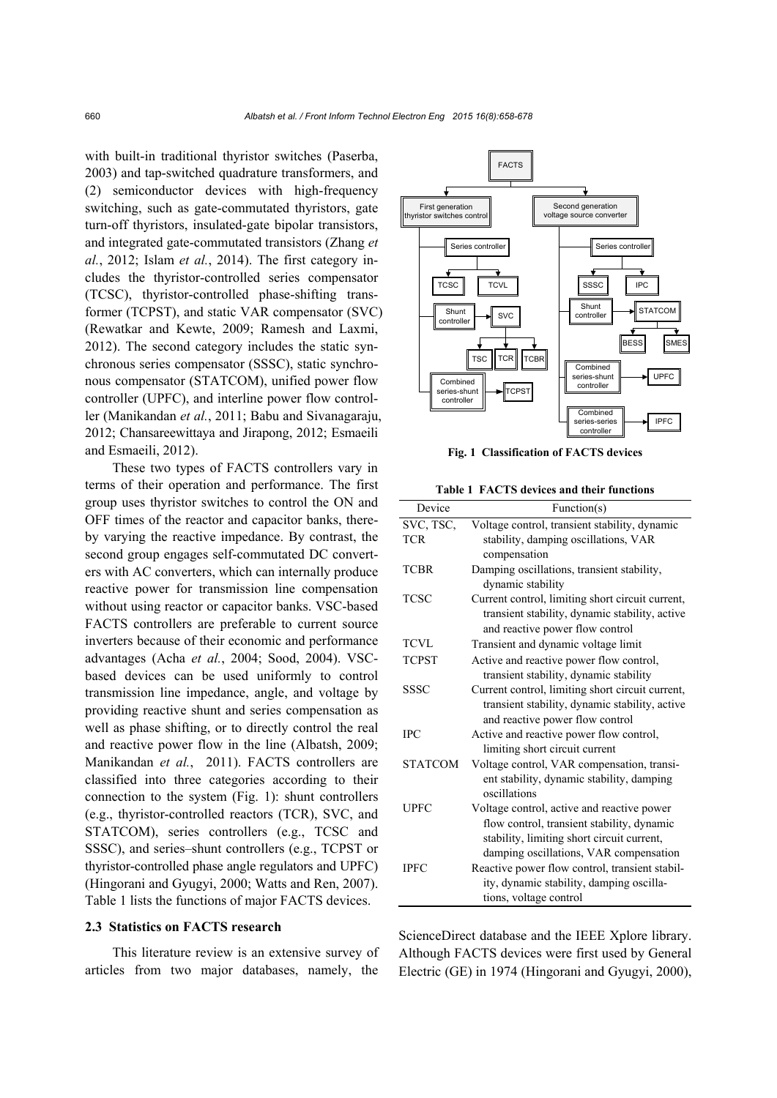with built-in traditional thyristor switches (Paserba, 2003) and tap-switched quadrature transformers, and (2) semiconductor devices with high-frequency switching, such as gate-commutated thyristors, gate turn-off thyristors, insulated-gate bipolar transistors, and integrated gate-commutated transistors (Zhang *et al.*, 2012; Islam *et al.*, 2014). The first category includes the thyristor-controlled series compensator (TCSC), thyristor-controlled phase-shifting transformer (TCPST), and static VAR compensator (SVC) (Rewatkar and Kewte, 2009; Ramesh and Laxmi, 2012). The second category includes the static synchronous series compensator (SSSC), static synchronous compensator (STATCOM), unified power flow controller (UPFC), and interline power flow controller (Manikandan *et al.*, 2011; Babu and Sivanagaraju, 2012; Chansareewittaya and Jirapong, 2012; Esmaeili and Esmaeili, 2012).

These two types of FACTS controllers vary in terms of their operation and performance. The first group uses thyristor switches to control the ON and OFF times of the reactor and capacitor banks, thereby varying the reactive impedance. By contrast, the second group engages self-commutated DC converters with AC converters, which can internally produce reactive power for transmission line compensation without using reactor or capacitor banks. VSC-based FACTS controllers are preferable to current source inverters because of their economic and performance advantages (Acha *et al.*, 2004; Sood, 2004). VSCbased devices can be used uniformly to control transmission line impedance, angle, and voltage by providing reactive shunt and series compensation as well as phase shifting, or to directly control the real and reactive power flow in the line (Albatsh, 2009; Manikandan et al., 2011). FACTS controllers are classified into three categories according to their connection to the system (Fig. 1): shunt controllers (e.g., thyristor-controlled reactors (TCR), SVC, and STATCOM), series controllers (e.g., TCSC and SSSC), and series–shunt controllers (e.g., TCPST or thyristor-controlled phase angle regulators and UPFC) (Hingorani and Gyugyi, 2000; Watts and Ren, 2007). Table 1 lists the functions of major FACTS devices.

## **2.3 Statistics on FACTS research**

This literature review is an extensive survey of articles from two major databases, namely, the



**Fig. 1 Classification of FACTS devices**

**Table 1 FACTS devices and their functions** 

| Device         | Function(s)                                      |  |  |
|----------------|--------------------------------------------------|--|--|
| SVC, TSC,      | Voltage control, transient stability, dynamic    |  |  |
| <b>TCR</b>     | stability, damping oscillations, VAR             |  |  |
|                | compensation                                     |  |  |
| <b>TCBR</b>    | Damping oscillations, transient stability,       |  |  |
|                | dynamic stability                                |  |  |
| TCSC           | Current control, limiting short circuit current, |  |  |
|                | transient stability, dynamic stability, active   |  |  |
|                | and reactive power flow control                  |  |  |
| <b>TCVL</b>    | Transient and dynamic voltage limit              |  |  |
| TCPST          | Active and reactive power flow control,          |  |  |
|                | transient stability, dynamic stability           |  |  |
| <b>SSSC</b>    | Current control, limiting short circuit current, |  |  |
|                | transient stability, dynamic stability, active   |  |  |
|                | and reactive power flow control                  |  |  |
| <b>IPC</b>     | Active and reactive power flow control,          |  |  |
|                | limiting short circuit current                   |  |  |
| <b>STATCOM</b> | Voltage control, VAR compensation, transi-       |  |  |
|                | ent stability, dynamic stability, damping        |  |  |
|                | oscillations                                     |  |  |
| UPFC           | Voltage control, active and reactive power       |  |  |
|                | flow control, transient stability, dynamic       |  |  |
|                | stability, limiting short circuit current,       |  |  |
|                | damping oscillations, VAR compensation           |  |  |
| <b>IPFC</b>    | Reactive power flow control, transient stabil-   |  |  |
|                | ity, dynamic stability, damping oscilla-         |  |  |
|                | tions, voltage control                           |  |  |

ScienceDirect database and the IEEE Xplore library. Although FACTS devices were first used by General Electric (GE) in 1974 (Hingorani and Gyugyi, 2000),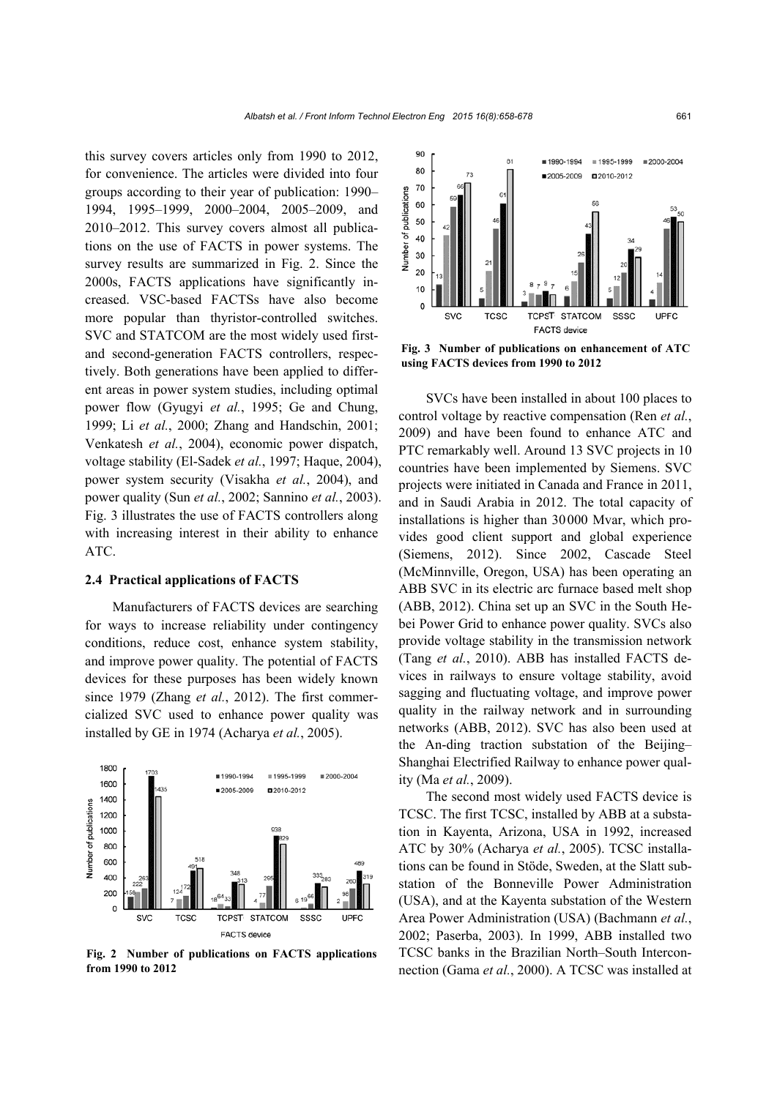this survey covers articles only from 1990 to 2012, for convenience. The articles were divided into four groups according to their year of publication: 1990– 1994, 1995–1999, 2000–2004, 2005–2009, and 2010–2012. This survey covers almost all publications on the use of FACTS in power systems. The survey results are summarized in Fig. 2. Since the 2000s, FACTS applications have significantly increased. VSC-based FACTSs have also become more popular than thyristor-controlled switches. SVC and STATCOM are the most widely used firstand second-generation FACTS controllers, respectively. Both generations have been applied to different areas in power system studies, including optimal power flow (Gyugyi *et al.*, 1995; Ge and Chung, 1999; Li *et al.*, 2000; Zhang and Handschin, 2001; Venkatesh *et al.*, 2004), economic power dispatch, voltage stability (El-Sadek *et al.*, 1997; Haque, 2004), power system security (Visakha *et al.*, 2004), and power quality (Sun *et al.*, 2002; Sannino *et al.*, 2003). Fig. 3 illustrates the use of FACTS controllers along with increasing interest in their ability to enhance ATC.

#### **2.4 Practical applications of FACTS**

Manufacturers of FACTS devices are searching for ways to increase reliability under contingency conditions, reduce cost, enhance system stability, and improve power quality. The potential of FACTS devices for these purposes has been widely known since 1979 (Zhang *et al.*, 2012). The first commercialized SVC used to enhance power quality was installed by GE in 1974 (Acharya *et al.*, 2005).



**Fig. 2 Number of publications on FACTS applications from 1990 to 2012**



**Fig. 3 Number of publications on enhancement of ATC using FACTS devices from 1990 to 2012**

SVCs have been installed in about 100 places to control voltage by reactive compensation (Ren *et al.*, 2009) and have been found to enhance ATC and PTC remarkably well. Around 13 SVC projects in 10 countries have been implemented by Siemens. SVC projects were initiated in Canada and France in 2011, and in Saudi Arabia in 2012. The total capacity of installations is higher than 30000 Mvar, which provides good client support and global experience (Siemens, 2012). Since 2002, Cascade Steel (McMinnville, Oregon, USA) has been operating an ABB SVC in its electric arc furnace based melt shop (ABB, 2012). China set up an SVC in the South Hebei Power Grid to enhance power quality. SVCs also provide voltage stability in the transmission network (Tang *et al.*, 2010). ABB has installed FACTS devices in railways to ensure voltage stability, avoid sagging and fluctuating voltage, and improve power quality in the railway network and in surrounding networks (ABB, 2012). SVC has also been used at the An-ding traction substation of the Beijing– Shanghai Electrified Railway to enhance power quality (Ma *et al.*, 2009).

The second most widely used FACTS device is TCSC. The first TCSC, installed by ABB at a substation in Kayenta, Arizona, USA in 1992, increased ATC by 30% (Acharya *et al.*, 2005). TCSC installations can be found in Stöde, Sweden, at the Slatt substation of the Bonneville Power Administration (USA), and at the Kayenta substation of the Western Area Power Administration (USA) (Bachmann *et al.*, 2002; Paserba, 2003). In 1999, ABB installed two TCSC banks in the Brazilian North–South Interconnection (Gama *et al.*, 2000). A TCSC was installed at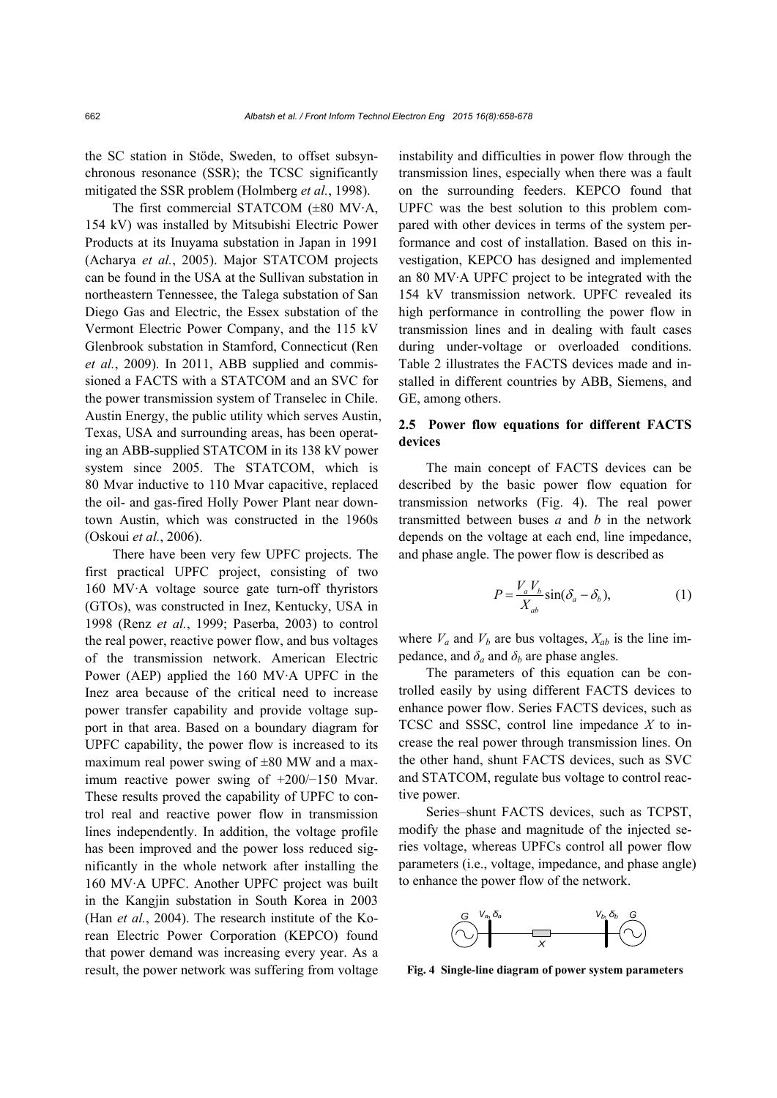the SC station in Stöde, Sweden, to offset subsynchronous resonance (SSR); the TCSC significantly mitigated the SSR problem (Holmberg *et al.*, 1998).

The first commercial STATCOM ( $\pm 80$  MV·A, 154 kV) was installed by Mitsubishi Electric Power Products at its Inuyama substation in Japan in 1991 (Acharya *et al.*, 2005). Major STATCOM projects can be found in the USA at the Sullivan substation in northeastern Tennessee, the Talega substation of San Diego Gas and Electric, the Essex substation of the Vermont Electric Power Company, and the 115 kV Glenbrook substation in Stamford, Connecticut (Ren *et al.*, 2009). In 2011, ABB supplied and commissioned a FACTS with a STATCOM and an SVC for the power transmission system of Transelec in Chile. Austin Energy, the public utility which serves Austin, Texas, USA and surrounding areas, has been operating an ABB-supplied STATCOM in its 138 kV power system since 2005. The STATCOM, which is 80 Mvar inductive to 110 Mvar capacitive, replaced the oil- and gas-fired Holly Power Plant near downtown Austin, which was constructed in the 1960s (Oskoui *et al.*, 2006).

There have been very few UPFC projects. The first practical UPFC project, consisting of two 160 MV·A voltage source gate turn-off thyristors (GTOs), was constructed in Inez, Kentucky, USA in 1998 (Renz *et al.*, 1999; Paserba, 2003) to control the real power, reactive power flow, and bus voltages of the transmission network. American Electric Power (AEP) applied the 160 MV·A UPFC in the Inez area because of the critical need to increase power transfer capability and provide voltage support in that area. Based on a boundary diagram for UPFC capability, the power flow is increased to its maximum real power swing of  $\pm 80$  MW and a maximum reactive power swing of +200/−150 Mvar. These results proved the capability of UPFC to control real and reactive power flow in transmission lines independently. In addition, the voltage profile has been improved and the power loss reduced significantly in the whole network after installing the 160 MV·A UPFC. Another UPFC project was built in the Kangjin substation in South Korea in 2003 (Han *et al.*, 2004). The research institute of the Korean Electric Power Corporation (KEPCO) found that power demand was increasing every year. As a result, the power network was suffering from voltage instability and difficulties in power flow through the transmission lines, especially when there was a fault on the surrounding feeders. KEPCO found that UPFC was the best solution to this problem compared with other devices in terms of the system performance and cost of installation. Based on this investigation, KEPCO has designed and implemented an 80 MV·A UPFC project to be integrated with the 154 kV transmission network. UPFC revealed its high performance in controlling the power flow in transmission lines and in dealing with fault cases during under-voltage or overloaded conditions. Table 2 illustrates the FACTS devices made and installed in different countries by ABB, Siemens, and GE, among others.

# **2.5 Power flow equations for different FACTS devices**

The main concept of FACTS devices can be described by the basic power flow equation for transmission networks (Fig. 4). The real power transmitted between buses *a* and *b* in the network depends on the voltage at each end, line impedance, and phase angle. The power flow is described as

$$
P = \frac{V_a V_b}{X_{ab}} \sin(\delta_a - \delta_b),\tag{1}
$$

where  $V_a$  and  $V_b$  are bus voltages,  $X_{ab}$  is the line impedance, and  $\delta_a$  and  $\delta_b$  are phase angles.

The parameters of this equation can be controlled easily by using different FACTS devices to enhance power flow. Series FACTS devices, such as TCSC and SSSC, control line impedance *X* to increase the real power through transmission lines. On the other hand, shunt FACTS devices, such as SVC and STATCOM, regulate bus voltage to control reactive power.

Series–shunt FACTS devices, such as TCPST, modify the phase and magnitude of the injected series voltage, whereas UPFCs control all power flow parameters (i.e., voltage, impedance, and phase angle) to enhance the power flow of the network.



**Fig. 4 Single-line diagram of power system parameters**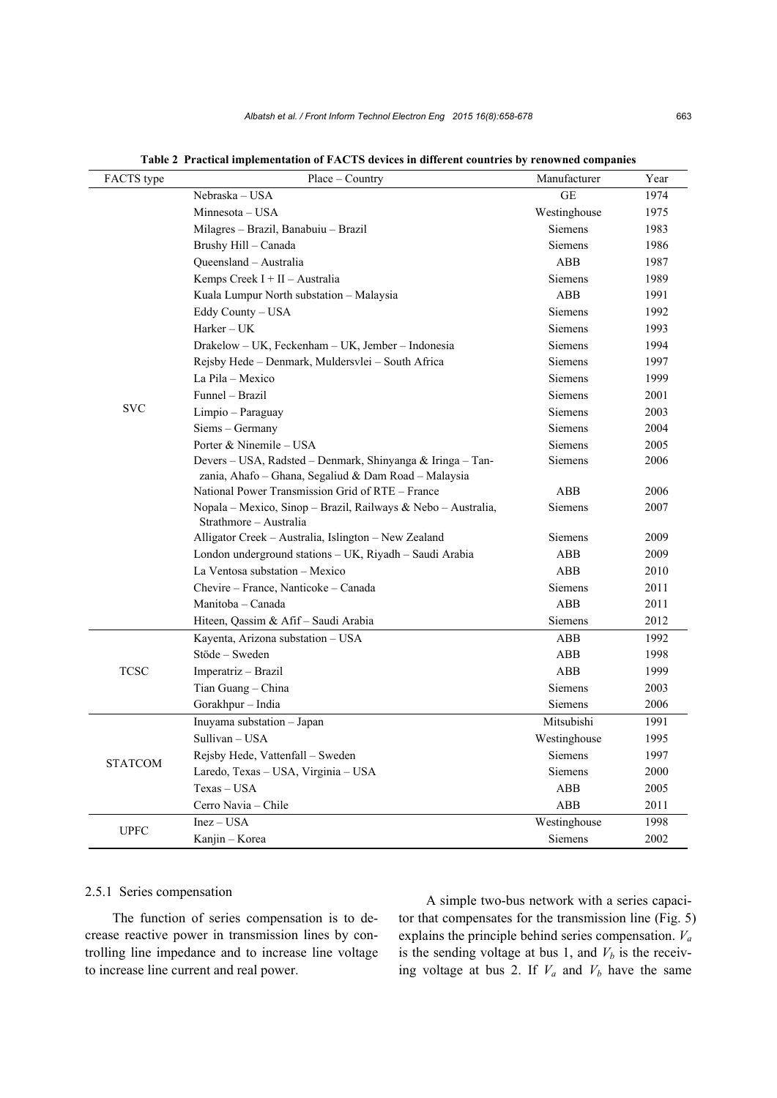| FACTS type     | $Place - Country$                                                                       | Manufacturer   | Year |
|----------------|-----------------------------------------------------------------------------------------|----------------|------|
|                | Nebraska - USA                                                                          | <b>GE</b>      | 1974 |
|                | Minnesota - USA                                                                         | Westinghouse   | 1975 |
|                | Milagres - Brazil, Banabuiu - Brazil                                                    | <b>Siemens</b> | 1983 |
|                | Brushy Hill - Canada                                                                    | <b>Siemens</b> | 1986 |
|                | Queensland - Australia                                                                  | ABB            | 1987 |
|                | Kemps Creek $I + II -$ Australia                                                        | <b>Siemens</b> | 1989 |
|                | Kuala Lumpur North substation – Malaysia                                                | <b>ABB</b>     | 1991 |
|                | Eddy County - USA                                                                       | <b>Siemens</b> | 1992 |
|                | Harker - UK                                                                             | <b>Siemens</b> | 1993 |
|                | Drakelow - UK, Feckenham - UK, Jember - Indonesia                                       | <b>Siemens</b> | 1994 |
|                | Rejsby Hede - Denmark, Muldersvlei - South Africa                                       | <b>Siemens</b> | 1997 |
|                | La Pila – Mexico                                                                        | <b>Siemens</b> | 1999 |
|                | Funnel - Brazil                                                                         | <b>Siemens</b> | 2001 |
| <b>SVC</b>     | Limpio - Paraguay                                                                       | <b>Siemens</b> | 2003 |
|                | Siems - Germany                                                                         | <b>Siemens</b> | 2004 |
|                | Porter & Ninemile - USA                                                                 | <b>Siemens</b> | 2005 |
|                | Devers - USA, Radsted - Denmark, Shinyanga & Iringa - Tan-                              | <b>Siemens</b> | 2006 |
|                | zania, Ahafo – Ghana, Segaliud & Dam Road – Malaysia                                    |                |      |
|                | National Power Transmission Grid of RTE – France                                        | ABB            | 2006 |
|                | Nopala - Mexico, Sinop - Brazil, Railways & Nebo - Australia,<br>Strathmore - Australia | <b>Siemens</b> | 2007 |
|                | Alligator Creek - Australia, Islington - New Zealand                                    | <b>Siemens</b> | 2009 |
|                | London underground stations - UK, Riyadh - Saudi Arabia                                 | ABB            | 2009 |
|                | La Ventosa substation - Mexico                                                          | ABB            | 2010 |
|                | Chevire – France, Nanticoke – Canada                                                    | <b>Siemens</b> | 2011 |
|                | Manitoba - Canada                                                                       | ABB            | 2011 |
|                | Hiteen, Qassim & Afif - Saudi Arabia                                                    | <b>Siemens</b> | 2012 |
|                | Kayenta, Arizona substation - USA                                                       | ABB            | 1992 |
|                | Stöde – Sweden                                                                          | ABB            | 1998 |
| <b>TCSC</b>    | Imperatriz – Brazil                                                                     | ABB            | 1999 |
|                | Tian Guang - China                                                                      | <b>Siemens</b> | 2003 |
|                | Gorakhpur – India                                                                       | <b>Siemens</b> | 2006 |
|                | Inuyama substation - Japan                                                              | Mitsubishi     | 1991 |
|                | Sullivan - USA                                                                          | Westinghouse   | 1995 |
|                | Rejsby Hede, Vattenfall - Sweden                                                        | <b>Siemens</b> | 1997 |
| <b>STATCOM</b> | Laredo, Texas – USA, Virginia – USA                                                     | <b>Siemens</b> | 2000 |
|                | $Texas - USA$                                                                           | <b>ABB</b>     | 2005 |
|                | Cerro Navia - Chile                                                                     | ABB            | 2011 |
|                | $Inez - USA$                                                                            | Westinghouse   | 1998 |
| <b>UPFC</b>    | Kanjin - Korea                                                                          | Siemens        | 2002 |

**Table 2 Practical implementation of FACTS devices in different countries by renowned companies**

# 2.5.1 Series compensation

The function of series compensation is to decrease reactive power in transmission lines by controlling line impedance and to increase line voltage to increase line current and real power.

A simple two-bus network with a series capacitor that compensates for the transmission line (Fig. 5) explains the principle behind series compensation. *Va* is the sending voltage at bus 1, and  $V_b$  is the receiving voltage at bus 2. If  $V_a$  and  $V_b$  have the same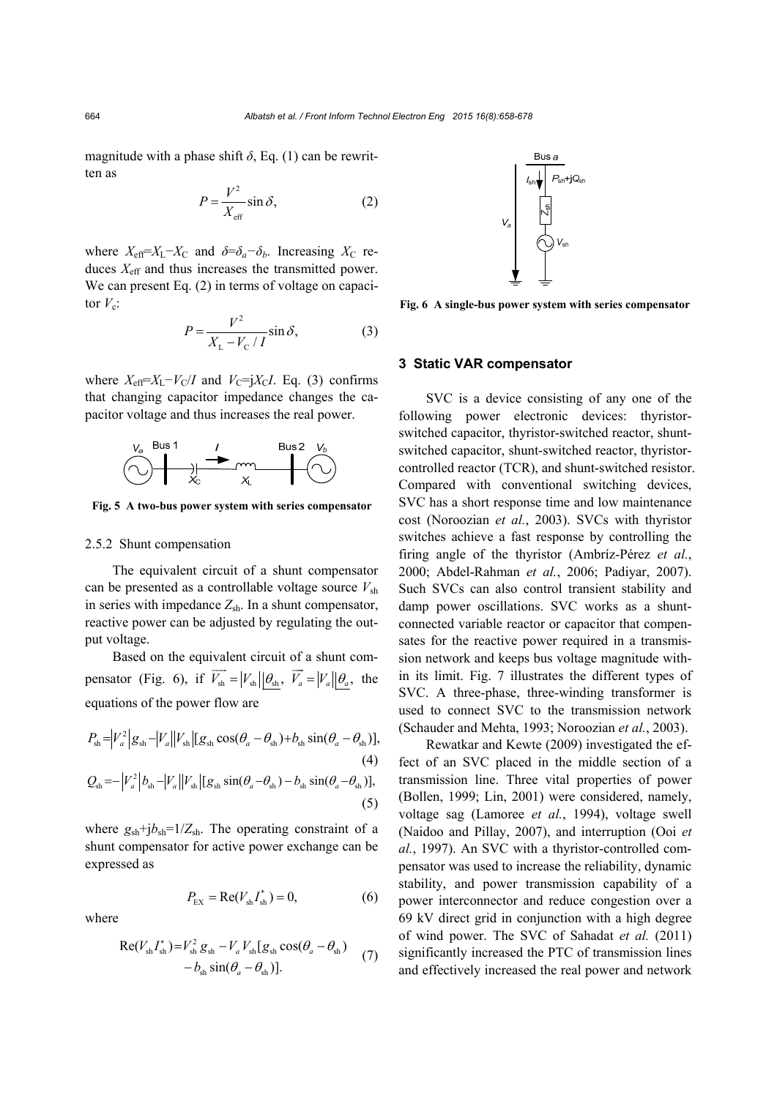magnitude with a phase shift  $\delta$ , Eq. (1) can be rewritten as  $V^2$ 

$$
P = \frac{V^2}{X_{\text{eff}}} \sin \delta,\tag{2}
$$

where  $X_{\text{eff}}=X_{\text{L}}-X_{\text{C}}$  and  $\delta=\delta_a-\delta_b$ . Increasing  $X_{\text{C}}$  reduces *X*eff and thus increases the transmitted power. We can present Eq. (2) in terms of voltage on capacitor  $V_c$ :

$$
P = \frac{V^2}{X_L - V_C / I} \sin \delta,
$$
 (3)

where  $X_{\text{eff}}=X_{\text{L}}-V_{\text{C}}/I$  and  $V_{\text{C}}=iX_{\text{C}}I$ . Eq. (3) confirms that changing capacitor impedance changes the capacitor voltage and thus increases the real power.



**Fig. 5 A two-bus power system with series compensator**

#### 2.5.2 Shunt compensation

The equivalent circuit of a shunt compensator can be presented as a controllable voltage source *V*sh in series with impedance  $Z_{sh}$ . In a shunt compensator, reactive power can be adjusted by regulating the output voltage.

Based on the equivalent circuit of a shunt compensator (Fig. 6), if  $\overrightarrow{V_{\rm sh}} = |V_{\rm sh}| |\theta_{\rm sh}, \overrightarrow{V_a} = |V_a| |\theta_a$ , the equations of the power flow are

$$
P_{\rm sh} = |V_a^2| g_{\rm sh} - |V_a||V_{\rm sh}| [g_{\rm sh} \cos(\theta_a - \theta_{\rm sh}) + b_{\rm sh} \sin(\theta_a - \theta_{\rm sh})],
$$
\n(4)

$$
Q_{sh} = -\left|V_a^2\right| b_{sh} - \left|V_a\right| \left|V_{sh}\right| \left[g_{sh}\sin(\theta_a - \theta_{sh}) - b_{sh}\sin(\theta_a - \theta_{sh})\right],\tag{5}
$$

where  $g_{\rm sh}+j b_{\rm sh}=1/Z_{\rm sh}$ . The operating constraint of a shunt compensator for active power exchange can be expressed as

$$
P_{\rm EX} = \text{Re}(V_{\rm sh}I_{\rm sh}^*) = 0,\tag{6}
$$

where

$$
\operatorname{Re}(V_{\mathrm{sh}}I_{\mathrm{sh}}^{*})=V_{\mathrm{sh}}^{2}g_{\mathrm{sh}}-V_{a}V_{\mathrm{sh}}[g_{\mathrm{sh}}\cos(\theta_{a}-\theta_{\mathrm{sh}})]
$$
  
- $b_{\mathrm{sh}}\sin(\theta_{a}-\theta_{\mathrm{sh}})]$ . (7)



**Fig. 6 A single-bus power system with series compensator**

#### **3 Static VAR compensator**

SVC is a device consisting of any one of the following power electronic devices: thyristorswitched capacitor, thyristor-switched reactor, shuntswitched capacitor, shunt-switched reactor, thyristorcontrolled reactor (TCR), and shunt-switched resistor. Compared with conventional switching devices, SVC has a short response time and low maintenance cost (Noroozian *et al.*, 2003). SVCs with thyristor switches achieve a fast response by controlling the firing angle of the thyristor (Ambríz-Pérez *et al.*, 2000; Abdel-Rahman *et al.*, 2006; Padiyar, 2007). Such SVCs can also control transient stability and damp power oscillations. SVC works as a shuntconnected variable reactor or capacitor that compensates for the reactive power required in a transmission network and keeps bus voltage magnitude within its limit. Fig. 7 illustrates the different types of SVC. A three-phase, three-winding transformer is used to connect SVC to the transmission network (Schauder and Mehta, 1993; Noroozian *et al.*, 2003).

Rewatkar and Kewte (2009) investigated the effect of an SVC placed in the middle section of a transmission line. Three vital properties of power (Bollen, 1999; Lin, 2001) were considered, namely, voltage sag (Lamoree *et al.*, 1994), voltage swell (Naidoo and Pillay, 2007), and interruption (Ooi *et al.*, 1997). An SVC with a thyristor-controlled compensator was used to increase the reliability, dynamic stability, and power transmission capability of a power interconnector and reduce congestion over a 69 kV direct grid in conjunction with a high degree of wind power. The SVC of Sahadat *et al.* (2011) significantly increased the PTC of transmission lines and effectively increased the real power and network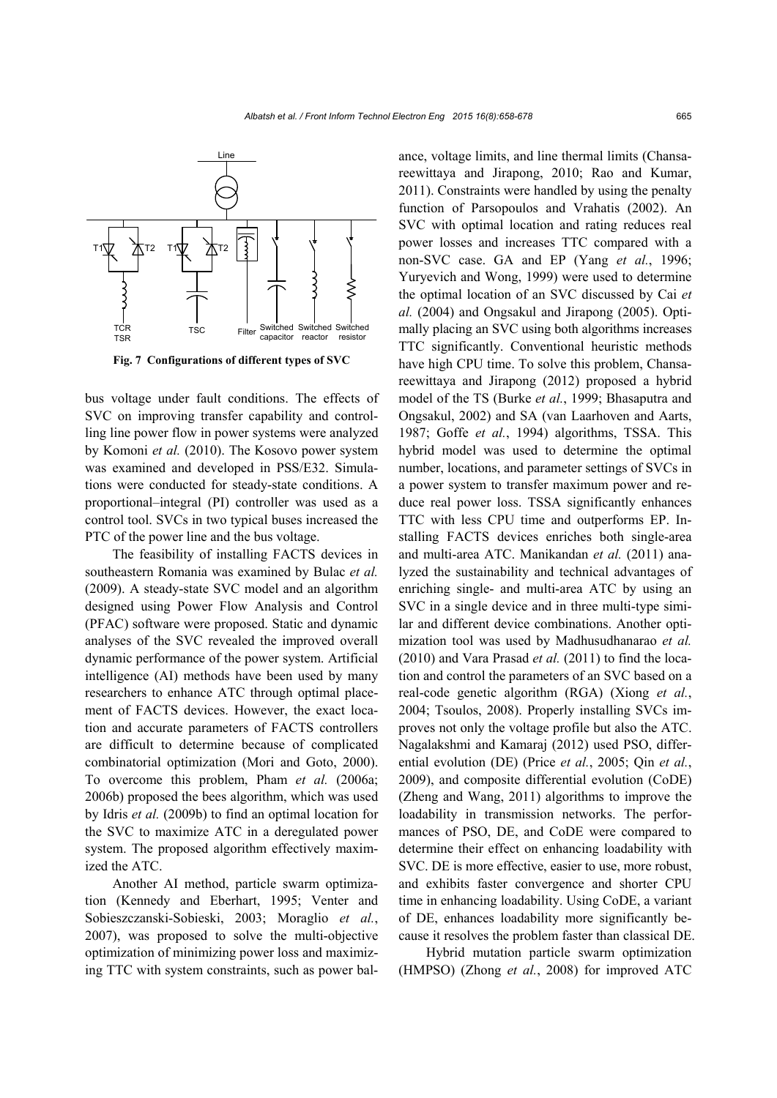

**Fig. 7 Configurations of different types of SVC**

bus voltage under fault conditions. The effects of SVC on improving transfer capability and controlling line power flow in power systems were analyzed by Komoni *et al.* (2010). The Kosovo power system was examined and developed in PSS/E32. Simulations were conducted for steady-state conditions. A proportional–integral (PI) controller was used as a control tool. SVCs in two typical buses increased the PTC of the power line and the bus voltage.

The feasibility of installing FACTS devices in southeastern Romania was examined by Bulac *et al.* (2009). A steady-state SVC model and an algorithm designed using Power Flow Analysis and Control (PFAC) software were proposed. Static and dynamic analyses of the SVC revealed the improved overall dynamic performance of the power system. Artificial intelligence (AI) methods have been used by many researchers to enhance ATC through optimal placement of FACTS devices. However, the exact location and accurate parameters of FACTS controllers are difficult to determine because of complicated combinatorial optimization (Mori and Goto, 2000). To overcome this problem, Pham *et al.* (2006a; 2006b) proposed the bees algorithm, which was used by Idris *et al.* (2009b) to find an optimal location for the SVC to maximize ATC in a deregulated power system. The proposed algorithm effectively maximized the ATC.

Another AI method, particle swarm optimization (Kennedy and Eberhart, 1995; Venter and Sobieszczanski-Sobieski, 2003; Moraglio *et al.*, 2007), was proposed to solve the multi-objective optimization of minimizing power loss and maximizing TTC with system constraints, such as power balance, voltage limits, and line thermal limits (Chansareewittaya and Jirapong, 2010; Rao and Kumar, 2011). Constraints were handled by using the penalty function of Parsopoulos and Vrahatis (2002). An SVC with optimal location and rating reduces real power losses and increases TTC compared with a non-SVC case. GA and EP (Yang *et al.*, 1996; Yuryevich and Wong, 1999) were used to determine the optimal location of an SVC discussed by Cai *et al.* (2004) and Ongsakul and Jirapong (2005). Optimally placing an SVC using both algorithms increases TTC significantly. Conventional heuristic methods have high CPU time. To solve this problem, Chansareewittaya and Jirapong (2012) proposed a hybrid model of the TS (Burke *et al.*, 1999; Bhasaputra and Ongsakul, 2002) and SA (van Laarhoven and Aarts, 1987; Goffe *et al.*, 1994) algorithms, TSSA. This hybrid model was used to determine the optimal number, locations, and parameter settings of SVCs in a power system to transfer maximum power and reduce real power loss. TSSA significantly enhances TTC with less CPU time and outperforms EP. Installing FACTS devices enriches both single-area and multi-area ATC. Manikandan *et al.* (2011) analyzed the sustainability and technical advantages of enriching single- and multi-area ATC by using an SVC in a single device and in three multi-type similar and different device combinations. Another optimization tool was used by Madhusudhanarao *et al.* (2010) and Vara Prasad *et al.* (2011) to find the location and control the parameters of an SVC based on a real-code genetic algorithm (RGA) (Xiong *et al.*, 2004; Tsoulos, 2008). Properly installing SVCs improves not only the voltage profile but also the ATC. Nagalakshmi and Kamaraj (2012) used PSO, differential evolution (DE) (Price *et al.*, 2005; Qin *et al.*, 2009), and composite differential evolution (CoDE) (Zheng and Wang, 2011) algorithms to improve the loadability in transmission networks. The performances of PSO, DE, and CoDE were compared to determine their effect on enhancing loadability with SVC. DE is more effective, easier to use, more robust, and exhibits faster convergence and shorter CPU time in enhancing loadability. Using CoDE, a variant of DE, enhances loadability more significantly because it resolves the problem faster than classical DE.

Hybrid mutation particle swarm optimization (HMPSO) (Zhong *et al.*, 2008) for improved ATC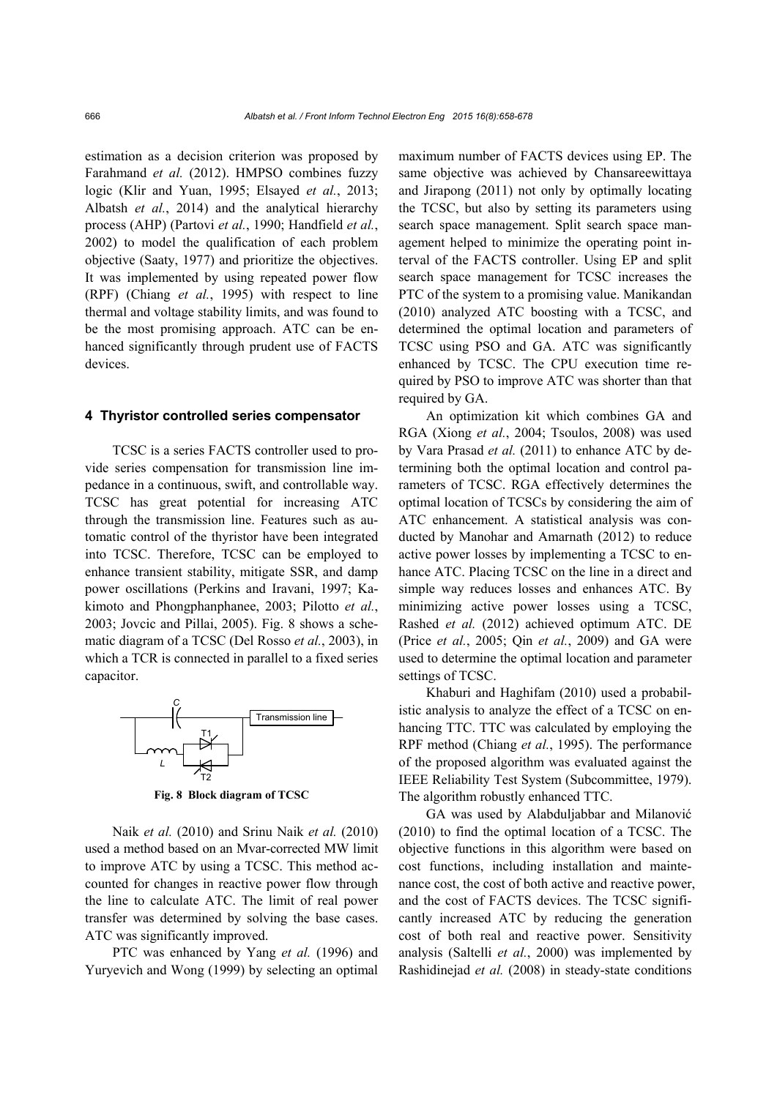estimation as a decision criterion was proposed by Farahmand *et al.* (2012). HMPSO combines fuzzy logic (Klir and Yuan, 1995; Elsayed *et al.*, 2013; Albatsh *et al.*, 2014) and the analytical hierarchy process (AHP) (Partovi *et al.*, 1990; Handfield *et al.*, 2002) to model the qualification of each problem objective (Saaty, 1977) and prioritize the objectives. It was implemented by using repeated power flow (RPF) (Chiang *et al.*, 1995) with respect to line thermal and voltage stability limits, and was found to be the most promising approach. ATC can be enhanced significantly through prudent use of FACTS devices.

#### **4 Thyristor controlled series compensator**

TCSC is a series FACTS controller used to provide series compensation for transmission line impedance in a continuous, swift, and controllable way. TCSC has great potential for increasing ATC through the transmission line. Features such as automatic control of the thyristor have been integrated into TCSC. Therefore, TCSC can be employed to enhance transient stability, mitigate SSR, and damp power oscillations (Perkins and Iravani, 1997; Kakimoto and Phongphanphanee, 2003; Pilotto *et al.*, 2003; Jovcic and Pillai, 2005). Fig. 8 shows a schematic diagram of a TCSC (Del Rosso *et al.*, 2003), in which a TCR is connected in parallel to a fixed series capacitor.



**Fig. 8 Block diagram of TCSC**

Naik *et al.* (2010) and Srinu Naik *et al.* (2010) used a method based on an Mvar-corrected MW limit to improve ATC by using a TCSC. This method accounted for changes in reactive power flow through the line to calculate ATC. The limit of real power transfer was determined by solving the base cases. ATC was significantly improved.

PTC was enhanced by Yang *et al.* (1996) and Yuryevich and Wong (1999) by selecting an optimal maximum number of FACTS devices using EP. The same objective was achieved by Chansareewittaya and Jirapong (2011) not only by optimally locating the TCSC, but also by setting its parameters using search space management. Split search space management helped to minimize the operating point interval of the FACTS controller. Using EP and split search space management for TCSC increases the PTC of the system to a promising value. Manikandan (2010) analyzed ATC boosting with a TCSC, and determined the optimal location and parameters of TCSC using PSO and GA. ATC was significantly enhanced by TCSC. The CPU execution time required by PSO to improve ATC was shorter than that required by GA.

An optimization kit which combines GA and RGA (Xiong *et al.*, 2004; Tsoulos, 2008) was used by Vara Prasad *et al.* (2011) to enhance ATC by determining both the optimal location and control parameters of TCSC. RGA effectively determines the optimal location of TCSCs by considering the aim of ATC enhancement. A statistical analysis was conducted by Manohar and Amarnath (2012) to reduce active power losses by implementing a TCSC to enhance ATC. Placing TCSC on the line in a direct and simple way reduces losses and enhances ATC. By minimizing active power losses using a TCSC, Rashed *et al.* (2012) achieved optimum ATC. DE (Price *et al.*, 2005; Qin *et al.*, 2009) and GA were used to determine the optimal location and parameter settings of TCSC.

Khaburi and Haghifam (2010) used a probabilistic analysis to analyze the effect of a TCSC on enhancing TTC. TTC was calculated by employing the RPF method (Chiang *et al.*, 1995). The performance of the proposed algorithm was evaluated against the IEEE Reliability Test System (Subcommittee, 1979). The algorithm robustly enhanced TTC.

GA was used by Alabduljabbar and Milanović (2010) to find the optimal location of a TCSC. The objective functions in this algorithm were based on cost functions, including installation and maintenance cost, the cost of both active and reactive power, and the cost of FACTS devices. The TCSC significantly increased ATC by reducing the generation cost of both real and reactive power. Sensitivity analysis (Saltelli *et al.*, 2000) was implemented by Rashidinejad *et al.* (2008) in steady-state conditions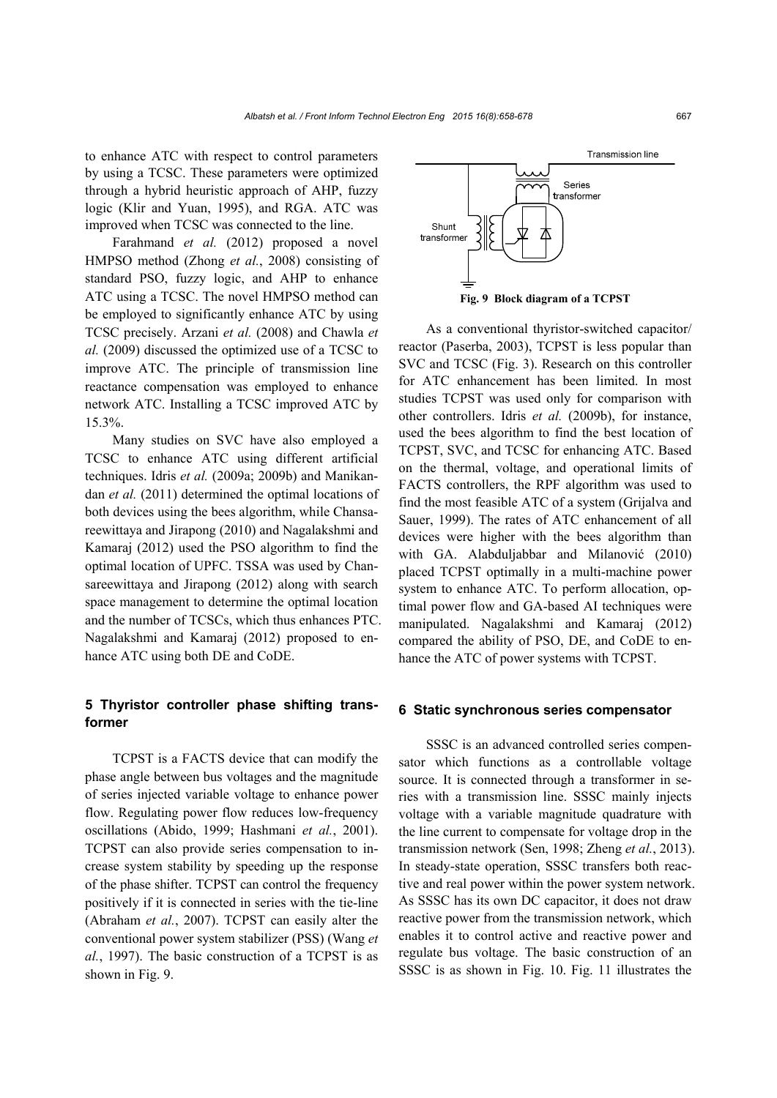to enhance ATC with respect to control parameters by using a TCSC. These parameters were optimized through a hybrid heuristic approach of AHP, fuzzy logic (Klir and Yuan, 1995), and RGA. ATC was improved when TCSC was connected to the line.

Farahmand *et al.* (2012) proposed a novel HMPSO method (Zhong *et al.*, 2008) consisting of standard PSO, fuzzy logic, and AHP to enhance ATC using a TCSC. The novel HMPSO method can be employed to significantly enhance ATC by using TCSC precisely. Arzani *et al.* (2008) and Chawla *et al.* (2009) discussed the optimized use of a TCSC to improve ATC. The principle of transmission line reactance compensation was employed to enhance network ATC. Installing a TCSC improved ATC by 15.3%.

Many studies on SVC have also employed a TCSC to enhance ATC using different artificial techniques. Idris *et al.* (2009a; 2009b) and Manikandan *et al.* (2011) determined the optimal locations of both devices using the bees algorithm, while Chansareewittaya and Jirapong (2010) and Nagalakshmi and Kamaraj (2012) used the PSO algorithm to find the optimal location of UPFC. TSSA was used by Chansareewittaya and Jirapong (2012) along with search space management to determine the optimal location and the number of TCSCs, which thus enhances PTC. Nagalakshmi and Kamaraj (2012) proposed to enhance ATC using both DE and CoDE.

# **5 Thyristor controller phase shifting transformer**

TCPST is a FACTS device that can modify the phase angle between bus voltages and the magnitude of series injected variable voltage to enhance power flow. Regulating power flow reduces low-frequency oscillations (Abido, 1999; Hashmani *et al.*, 2001). TCPST can also provide series compensation to increase system stability by speeding up the response of the phase shifter. TCPST can control the frequency positively if it is connected in series with the tie-line (Abraham *et al.*, 2007). TCPST can easily alter the conventional power system stabilizer (PSS) (Wang *et al.*, 1997). The basic construction of a TCPST is as shown in Fig. 9.



As a conventional thyristor-switched capacitor/ reactor (Paserba, 2003), TCPST is less popular than SVC and TCSC (Fig. 3). Research on this controller for ATC enhancement has been limited. In most studies TCPST was used only for comparison with other controllers. Idris *et al.* (2009b), for instance, used the bees algorithm to find the best location of TCPST, SVC, and TCSC for enhancing ATC. Based on the thermal, voltage, and operational limits of FACTS controllers, the RPF algorithm was used to find the most feasible ATC of a system (Grijalva and Sauer, 1999). The rates of ATC enhancement of all devices were higher with the bees algorithm than with GA. Alabduljabbar and Milanović (2010) placed TCPST optimally in a multi-machine power system to enhance ATC. To perform allocation, optimal power flow and GA-based AI techniques were manipulated. Nagalakshmi and Kamaraj (2012) compared the ability of PSO, DE, and CoDE to enhance the ATC of power systems with TCPST.

#### **6 Static synchronous series compensator**

SSSC is an advanced controlled series compensator which functions as a controllable voltage source. It is connected through a transformer in series with a transmission line. SSSC mainly injects voltage with a variable magnitude quadrature with the line current to compensate for voltage drop in the transmission network (Sen, 1998; Zheng *et al.*, 2013). In steady-state operation, SSSC transfers both reactive and real power within the power system network. As SSSC has its own DC capacitor, it does not draw reactive power from the transmission network, which enables it to control active and reactive power and regulate bus voltage. The basic construction of an SSSC is as shown in Fig. 10. Fig. 11 illustrates the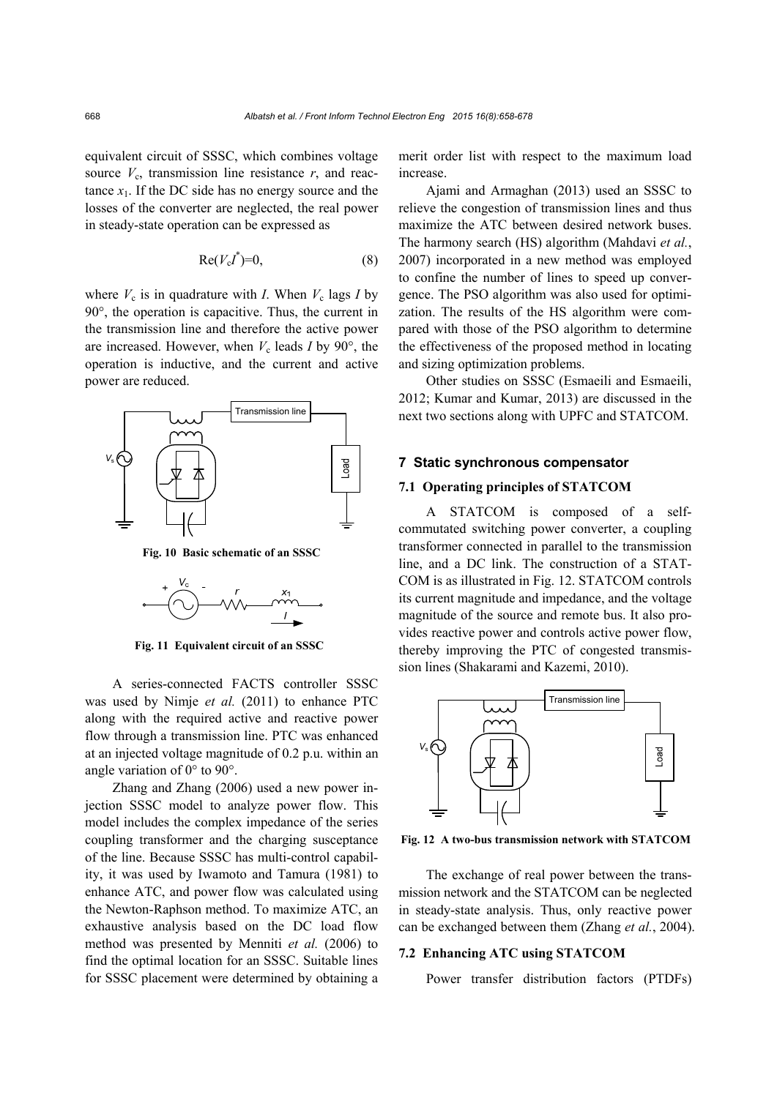equivalent circuit of SSSC, which combines voltage source  $V_c$ , transmission line resistance  $r$ , and reactance  $x_1$ . If the DC side has no energy source and the losses of the converter are neglected, the real power in steady-state operation can be expressed as

$$
Re(V_cI^*)=0,
$$
\n(8)

where  $V_c$  is in quadrature with *I*. When  $V_c$  lags *I* by 90°, the operation is capacitive. Thus, the current in the transmission line and therefore the active power are increased. However, when  $V_c$  leads *I* by 90 $\degree$ , the operation is inductive, and the current and active power are reduced.



**Fig. 10 Basic schematic of an SSSC**



**Fig. 11 Equivalent circuit of an SSSC**

A series-connected FACTS controller SSSC was used by Nimje *et al.* (2011) to enhance PTC along with the required active and reactive power flow through a transmission line. PTC was enhanced at an injected voltage magnitude of 0.2 p.u. within an angle variation of 0° to 90°.

Zhang and Zhang (2006) used a new power injection SSSC model to analyze power flow. This model includes the complex impedance of the series coupling transformer and the charging susceptance of the line. Because SSSC has multi-control capability, it was used by Iwamoto and Tamura (1981) to enhance ATC, and power flow was calculated using the Newton-Raphson method. To maximize ATC, an exhaustive analysis based on the DC load flow method was presented by Menniti *et al.* (2006) to find the optimal location for an SSSC. Suitable lines for SSSC placement were determined by obtaining a

merit order list with respect to the maximum load increase.

Ajami and Armaghan (2013) used an SSSC to relieve the congestion of transmission lines and thus maximize the ATC between desired network buses. The harmony search (HS) algorithm (Mahdavi *et al.*, 2007) incorporated in a new method was employed to confine the number of lines to speed up convergence. The PSO algorithm was also used for optimization. The results of the HS algorithm were compared with those of the PSO algorithm to determine the effectiveness of the proposed method in locating and sizing optimization problems.

Other studies on SSSC (Esmaeili and Esmaeili, 2012; Kumar and Kumar, 2013) are discussed in the next two sections along with UPFC and STATCOM.

## **7 Static synchronous compensator**

# **7.1 Operating principles of STATCOM**

A STATCOM is composed of a selfcommutated switching power converter, a coupling transformer connected in parallel to the transmission line, and a DC link. The construction of a STAT-COM is as illustrated in Fig. 12. STATCOM controls its current magnitude and impedance, and the voltage magnitude of the source and remote bus. It also provides reactive power and controls active power flow, thereby improving the PTC of congested transmission lines (Shakarami and Kazemi, 2010).



**Fig. 12 A two-bus transmission network with STATCOM**

The exchange of real power between the transmission network and the STATCOM can be neglected in steady-state analysis. Thus, only reactive power can be exchanged between them (Zhang *et al.*, 2004).

#### **7.2 Enhancing ATC using STATCOM**

Power transfer distribution factors (PTDFs)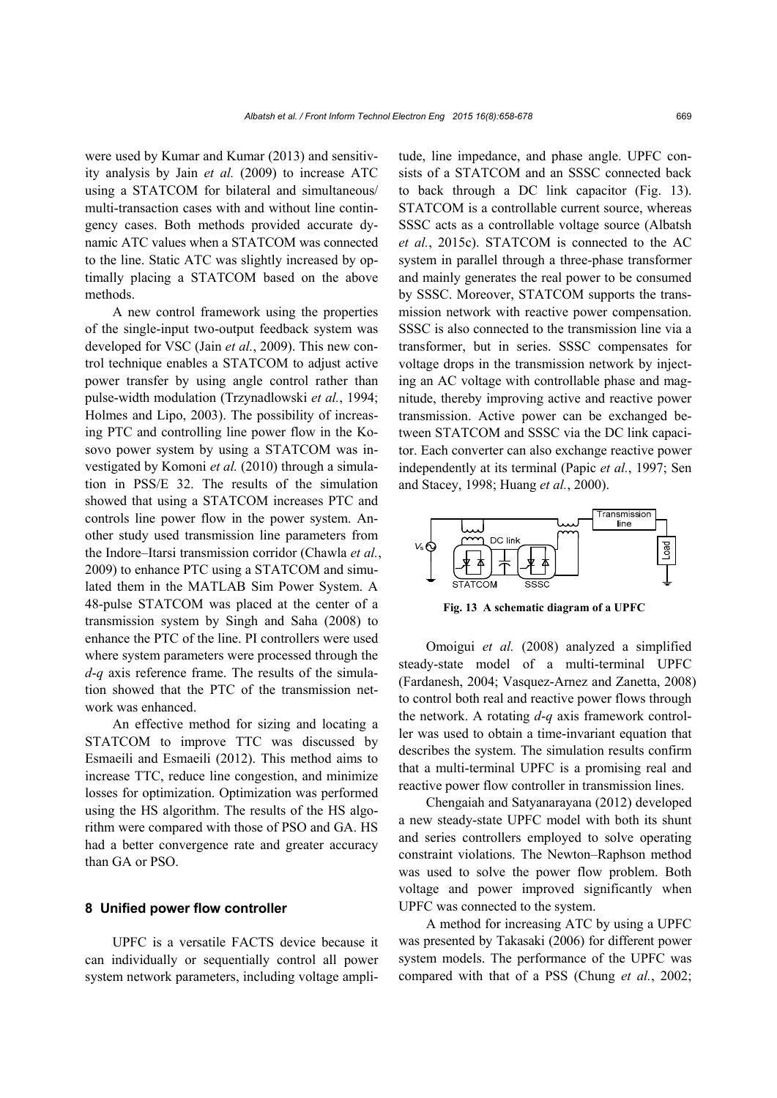were used by Kumar and Kumar (2013) and sensitivity analysis by Jain *et al.* (2009) to increase ATC using a STATCOM for bilateral and simultaneous/ multi-transaction cases with and without line contingency cases. Both methods provided accurate dynamic ATC values when a STATCOM was connected to the line. Static ATC was slightly increased by optimally placing a STATCOM based on the above methods.

A new control framework using the properties of the single-input two-output feedback system was developed for VSC (Jain *et al.*, 2009). This new control technique enables a STATCOM to adjust active power transfer by using angle control rather than pulse-width modulation (Trzynadlowski *et al.*, 1994; Holmes and Lipo, 2003). The possibility of increasing PTC and controlling line power flow in the Kosovo power system by using a STATCOM was investigated by Komoni *et al.* (2010) through a simulation in PSS/E 32. The results of the simulation showed that using a STATCOM increases PTC and controls line power flow in the power system. Another study used transmission line parameters from the Indore–Itarsi transmission corridor (Chawla *et al.*, 2009) to enhance PTC using a STATCOM and simulated them in the MATLAB Sim Power System. A 48-pulse STATCOM was placed at the center of a transmission system by Singh and Saha (2008) to enhance the PTC of the line. PI controllers were used where system parameters were processed through the *d*-*q* axis reference frame. The results of the simulation showed that the PTC of the transmission network was enhanced.

An effective method for sizing and locating a STATCOM to improve TTC was discussed by Esmaeili and Esmaeili (2012). This method aims to increase TTC, reduce line congestion, and minimize losses for optimization. Optimization was performed using the HS algorithm. The results of the HS algorithm were compared with those of PSO and GA. HS had a better convergence rate and greater accuracy than GA or PSO.

# **8 Unified power flow controller**

UPFC is a versatile FACTS device because it can individually or sequentially control all power system network parameters, including voltage amplitude, line impedance, and phase angle. UPFC consists of a STATCOM and an SSSC connected back to back through a DC link capacitor (Fig. 13). STATCOM is a controllable current source, whereas SSSC acts as a controllable voltage source (Albatsh *et al.*, 2015c). STATCOM is connected to the AC system in parallel through a three-phase transformer and mainly generates the real power to be consumed by SSSC. Moreover, STATCOM supports the transmission network with reactive power compensation. SSSC is also connected to the transmission line via a transformer, but in series. SSSC compensates for voltage drops in the transmission network by injecting an AC voltage with controllable phase and magnitude, thereby improving active and reactive power transmission. Active power can be exchanged between STATCOM and SSSC via the DC link capacitor. Each converter can also exchange reactive power independently at its terminal (Papic *et al.*, 1997; Sen and Stacey, 1998; Huang *et al.*, 2000).



**Fig. 13 A schematic diagram of a UPFC**

Omoigui *et al.* (2008) analyzed a simplified steady-state model of a multi-terminal UPFC (Fardanesh, 2004; Vasquez-Arnez and Zanetta, 2008) to control both real and reactive power flows through the network. A rotating *d*-*q* axis framework controller was used to obtain a time-invariant equation that describes the system. The simulation results confirm that a multi-terminal UPFC is a promising real and reactive power flow controller in transmission lines.

Chengaiah and Satyanarayana (2012) developed a new steady-state UPFC model with both its shunt and series controllers employed to solve operating constraint violations. The Newton–Raphson method was used to solve the power flow problem. Both voltage and power improved significantly when UPFC was connected to the system.

A method for increasing ATC by using a UPFC was presented by Takasaki (2006) for different power system models. The performance of the UPFC was compared with that of a PSS (Chung *et al.*, 2002;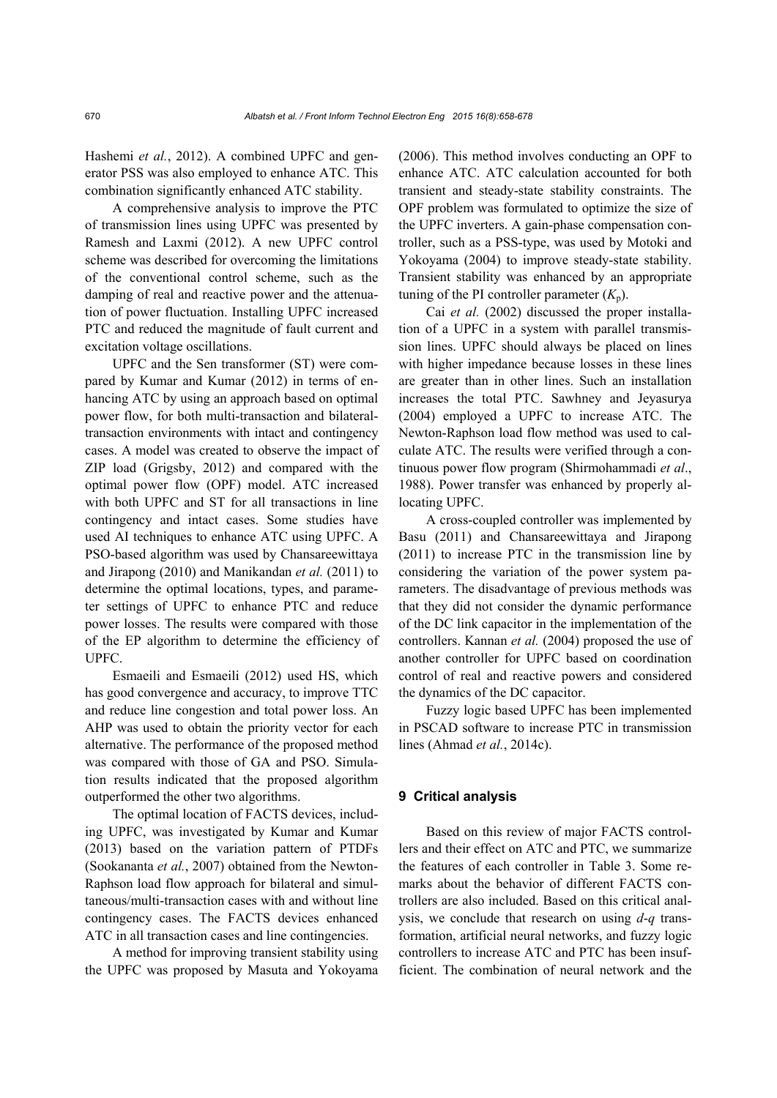Hashemi *et al.*, 2012). A combined UPFC and generator PSS was also employed to enhance ATC. This combination significantly enhanced ATC stability.

A comprehensive analysis to improve the PTC of transmission lines using UPFC was presented by Ramesh and Laxmi (2012). A new UPFC control scheme was described for overcoming the limitations of the conventional control scheme, such as the damping of real and reactive power and the attenuation of power fluctuation. Installing UPFC increased PTC and reduced the magnitude of fault current and excitation voltage oscillations.

UPFC and the Sen transformer (ST) were compared by Kumar and Kumar (2012) in terms of enhancing ATC by using an approach based on optimal power flow, for both multi-transaction and bilateraltransaction environments with intact and contingency cases. A model was created to observe the impact of ZIP load (Grigsby, 2012) and compared with the optimal power flow (OPF) model. ATC increased with both UPFC and ST for all transactions in line contingency and intact cases. Some studies have used AI techniques to enhance ATC using UPFC. A PSO-based algorithm was used by Chansareewittaya and Jirapong (2010) and Manikandan *et al.* (2011) to determine the optimal locations, types, and parameter settings of UPFC to enhance PTC and reduce power losses. The results were compared with those of the EP algorithm to determine the efficiency of UPFC.

Esmaeili and Esmaeili (2012) used HS, which has good convergence and accuracy, to improve TTC and reduce line congestion and total power loss. An AHP was used to obtain the priority vector for each alternative. The performance of the proposed method was compared with those of GA and PSO. Simulation results indicated that the proposed algorithm outperformed the other two algorithms.

The optimal location of FACTS devices, including UPFC, was investigated by Kumar and Kumar (2013) based on the variation pattern of PTDFs (Sookananta *et al.*, 2007) obtained from the Newton-Raphson load flow approach for bilateral and simultaneous/multi-transaction cases with and without line contingency cases. The FACTS devices enhanced ATC in all transaction cases and line contingencies.

A method for improving transient stability using the UPFC was proposed by Masuta and Yokoyama (2006). This method involves conducting an OPF to enhance ATC. ATC calculation accounted for both transient and steady-state stability constraints. The OPF problem was formulated to optimize the size of the UPFC inverters. A gain-phase compensation controller, such as a PSS-type, was used by Motoki and Yokoyama (2004) to improve steady-state stability. Transient stability was enhanced by an appropriate tuning of the PI controller parameter  $(K_n)$ .

Cai *et al.* (2002) discussed the proper installation of a UPFC in a system with parallel transmission lines. UPFC should always be placed on lines with higher impedance because losses in these lines are greater than in other lines. Such an installation increases the total PTC. Sawhney and Jeyasurya (2004) employed a UPFC to increase ATC. The Newton-Raphson load flow method was used to calculate ATC. The results were verified through a continuous power flow program (Shirmohammadi *et al*., 1988). Power transfer was enhanced by properly allocating UPFC.

A cross-coupled controller was implemented by Basu (2011) and Chansareewittaya and Jirapong (2011) to increase PTC in the transmission line by considering the variation of the power system parameters. The disadvantage of previous methods was that they did not consider the dynamic performance of the DC link capacitor in the implementation of the controllers. Kannan *et al.* (2004) proposed the use of another controller for UPFC based on coordination control of real and reactive powers and considered the dynamics of the DC capacitor.

Fuzzy logic based UPFC has been implemented in PSCAD software to increase PTC in transmission lines (Ahmad *et al.*, 2014c).

#### **9 Critical analysis**

Based on this review of major FACTS controllers and their effect on ATC and PTC, we summarize the features of each controller in Table 3. Some remarks about the behavior of different FACTS controllers are also included. Based on this critical analysis, we conclude that research on using *d*-*q* transformation, artificial neural networks, and fuzzy logic controllers to increase ATC and PTC has been insufficient. The combination of neural network and the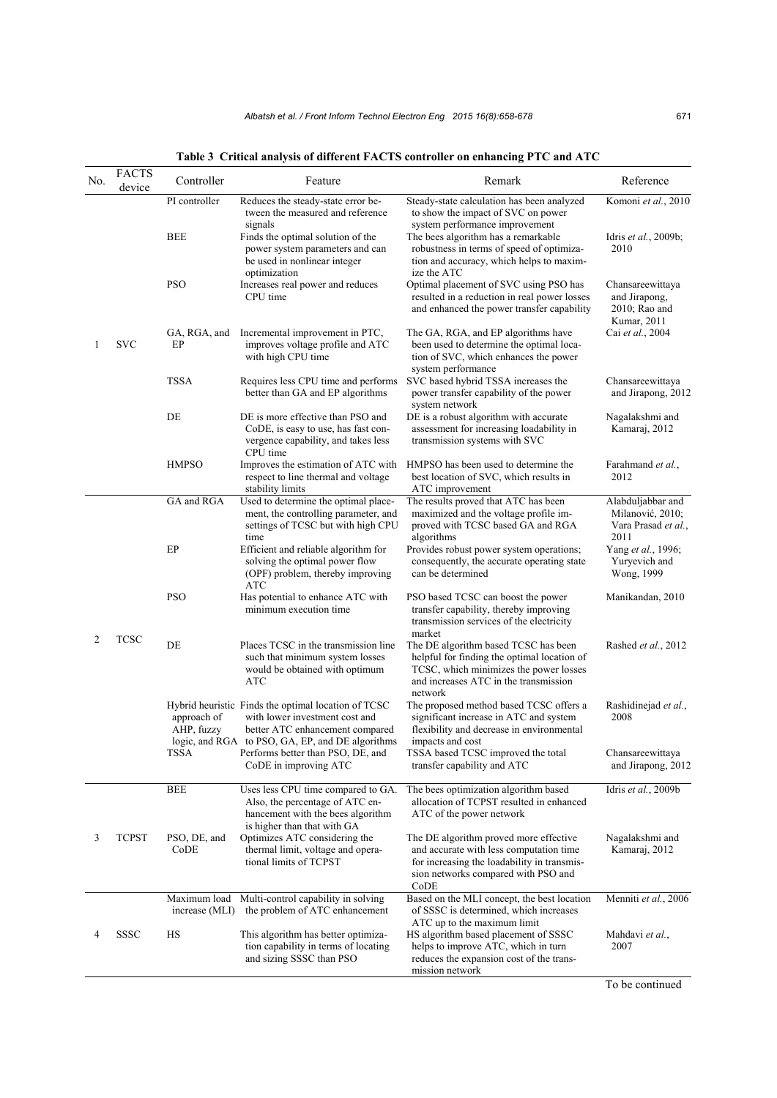| No. | <b>FACTS</b><br>device | Controller                  | Feature                                                                                                                                                                      | Remark                                                                                                                                                                                                 | Reference                                                            |
|-----|------------------------|-----------------------------|------------------------------------------------------------------------------------------------------------------------------------------------------------------------------|--------------------------------------------------------------------------------------------------------------------------------------------------------------------------------------------------------|----------------------------------------------------------------------|
| 1   | <b>SVC</b>             | PI controller<br><b>BEE</b> | Reduces the steady-state error be-<br>tween the measured and reference<br>signals<br>Finds the optimal solution of the<br>power system parameters and can                    | Steady-state calculation has been analyzed<br>to show the impact of SVC on power<br>system performance improvement<br>The bees algorithm has a remarkable<br>robustness in terms of speed of optimiza- | Komoni et al., 2010<br>Idris et al., 2009b;<br>2010                  |
|     |                        | <b>PSO</b>                  | be used in nonlinear integer<br>optimization<br>Increases real power and reduces<br>CPU time                                                                                 | tion and accuracy, which helps to maxim-<br>ize the ATC<br>Optimal placement of SVC using PSO has<br>resulted in a reduction in real power losses<br>and enhanced the power transfer capability        | Chansareewittaya<br>and Jirapong,<br>2010; Rao and<br>Kumar, 2011    |
|     |                        | GA, RGA, and<br>EP          | Incremental improvement in PTC,<br>improves voltage profile and ATC<br>with high CPU time                                                                                    | The GA, RGA, and EP algorithms have<br>been used to determine the optimal loca-<br>tion of SVC, which enhances the power                                                                               | Cai et al., 2004                                                     |
|     |                        | <b>TSSA</b>                 | Requires less CPU time and performs<br>better than GA and EP algorithms                                                                                                      | system performance<br>SVC based hybrid TSSA increases the<br>power transfer capability of the power<br>system network                                                                                  | Chansareewittaya<br>and Jirapong, 2012                               |
|     |                        | DE                          | DE is more effective than PSO and<br>CoDE, is easy to use, has fast con-<br>vergence capability, and takes less<br>CPU time                                                  | DE is a robust algorithm with accurate<br>assessment for increasing loadability in<br>transmission systems with SVC                                                                                    | Nagalakshmi and<br>Kamaraj, 2012                                     |
|     |                        | <b>HMPSO</b>                | Improves the estimation of ATC with<br>respect to line thermal and voltage<br>stability limits                                                                               | HMPSO has been used to determine the<br>best location of SVC, which results in<br>ATC improvement                                                                                                      | Farahmand et al.,<br>2012                                            |
| 2   | <b>TCSC</b>            | GA and RGA                  | Used to determine the optimal place-<br>ment, the controlling parameter, and<br>settings of TCSC but with high CPU<br>time                                                   | The results proved that ATC has been<br>maximized and the voltage profile im-<br>proved with TCSC based GA and RGA<br>algorithms                                                                       | Alabduljabbar and<br>Milanović, 2010;<br>Vara Prasad et al.,<br>2011 |
|     |                        | EP                          | Efficient and reliable algorithm for<br>solving the optimal power flow<br>(OPF) problem, thereby improving<br>ATC                                                            | Provides robust power system operations;<br>consequently, the accurate operating state<br>can be determined                                                                                            | Yang et al., 1996;<br>Yuryevich and<br>Wong, 1999                    |
|     |                        | <b>PSO</b>                  | Has potential to enhance ATC with<br>minimum execution time                                                                                                                  | PSO based TCSC can boost the power<br>transfer capability, thereby improving<br>transmission services of the electricity<br>market                                                                     | Manikandan, 2010                                                     |
|     |                        | DE                          | Places TCSC in the transmission line<br>such that minimum system losses<br>would be obtained with optimum<br>ATC                                                             | The DE algorithm based TCSC has been<br>helpful for finding the optimal location of<br>TCSC, which minimizes the power losses<br>and increases ATC in the transmission<br>network                      | Rashed et al., 2012                                                  |
|     |                        | approach of<br>AHP, fuzzy   | Hybrid heuristic Finds the optimal location of TCSC<br>with lower investment cost and<br>better ATC enhancement compared<br>logic, and RGA to PSO, GA, EP, and DE algorithms | The proposed method based TCSC offers a<br>significant increase in ATC and system<br>flexibility and decrease in environmental<br>impacts and cost                                                     | Rashidinejad et al.,<br>2008                                         |
|     |                        | TSSA                        | Performs better than PSO, DE, and<br>CoDE in improving ATC                                                                                                                   | TSSA based TCSC improved the total<br>transfer capability and ATC                                                                                                                                      | Chansareewittaya<br>and Jirapong, 2012                               |
| 3   | <b>TCPST</b>           | <b>BEE</b>                  | Uses less CPU time compared to GA.<br>Also, the percentage of ATC en-<br>hancement with the bees algorithm<br>is higher than that with GA                                    | The bees optimization algorithm based<br>allocation of TCPST resulted in enhanced<br>ATC of the power network                                                                                          | Idris et al., 2009b                                                  |
|     |                        | PSO, DE, and<br>CoDE        | Optimizes ATC considering the<br>thermal limit, voltage and opera-<br>tional limits of TCPST                                                                                 | The DE algorithm proved more effective<br>and accurate with less computation time<br>for increasing the loadability in transmis-<br>sion networks compared with PSO and<br>CoDE                        | Nagalakshmi and<br>Kamaraj, 2012                                     |
|     |                        | Maximum load                | Multi-control capability in solving<br>increase (MLI) the problem of ATC enhancement                                                                                         | Based on the MLI concept, the best location<br>of SSSC is determined, which increases<br>ATC up to the maximum limit                                                                                   | Menniti et al., 2006                                                 |
|     | <b>SSSC</b>            | HS                          | This algorithm has better optimiza-<br>tion capability in terms of locating<br>and sizing SSSC than PSO                                                                      | HS algorithm based placement of SSSC<br>helps to improve ATC, which in turn<br>reduces the expansion cost of the trans-<br>mission network                                                             | Mahdavi et al.,<br>2007                                              |
|     |                        |                             |                                                                                                                                                                              |                                                                                                                                                                                                        |                                                                      |

**Table 3 Critical analysis of different FACTS controller on enhancing PTC and ATC** 

To be continued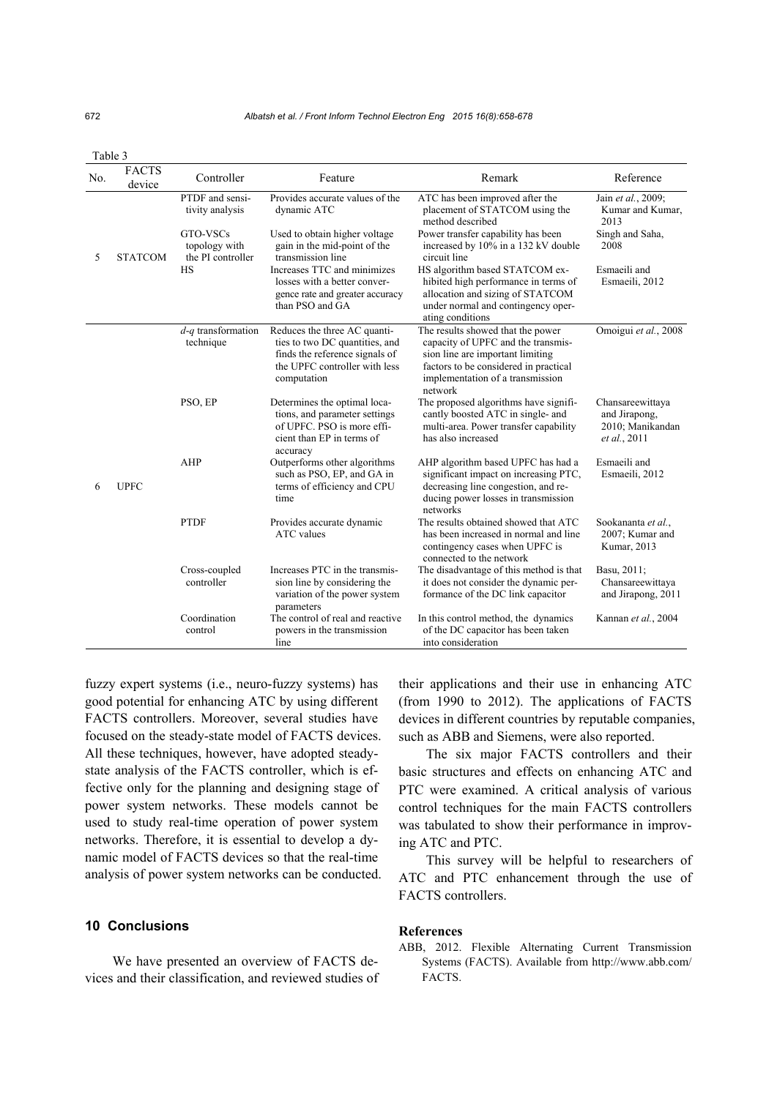|     | aviv J                 |                                                |                                                                                                                                                  |                                                                                                                                                                                                     |                                                                       |
|-----|------------------------|------------------------------------------------|--------------------------------------------------------------------------------------------------------------------------------------------------|-----------------------------------------------------------------------------------------------------------------------------------------------------------------------------------------------------|-----------------------------------------------------------------------|
| No. | <b>FACTS</b><br>device | Controller                                     | Feature                                                                                                                                          | Remark                                                                                                                                                                                              | Reference                                                             |
| 5   | <b>STATCOM</b>         | PTDF and sensi-<br>tivity analysis             | Provides accurate values of the<br>dynamic ATC                                                                                                   | ATC has been improved after the<br>placement of STATCOM using the<br>method described                                                                                                               | Jain et al., 2009;<br>Kumar and Kumar,<br>2013                        |
|     |                        | GTO-VSCs<br>topology with<br>the PI controller | Used to obtain higher voltage<br>gain in the mid-point of the<br>transmission line                                                               | Power transfer capability has been<br>increased by 10% in a 132 kV double<br>circuit line                                                                                                           | Singh and Saha,<br>2008                                               |
|     |                        | <b>HS</b>                                      | Increases TTC and minimizes<br>losses with a better conver-<br>gence rate and greater accuracy<br>than PSO and GA                                | HS algorithm based STATCOM ex-<br>hibited high performance in terms of<br>allocation and sizing of STATCOM<br>under normal and contingency oper-<br>ating conditions                                | Esmaeili and<br>Esmaeili, 2012                                        |
| 6   | <b>UPFC</b>            | $d$ -q transformation<br>technique             | Reduces the three AC quanti-<br>ties to two DC quantities, and<br>finds the reference signals of<br>the UPFC controller with less<br>computation | The results showed that the power<br>capacity of UPFC and the transmis-<br>sion line are important limiting<br>factors to be considered in practical<br>implementation of a transmission<br>network | Omoigui et al., 2008                                                  |
|     |                        | PSO, EP                                        | Determines the optimal loca-<br>tions, and parameter settings<br>of UPFC. PSO is more effi-<br>cient than EP in terms of<br>accuracy             | The proposed algorithms have signifi-<br>cantly boosted ATC in single- and<br>multi-area. Power transfer capability<br>has also increased                                                           | Chansareewittaya<br>and Jirapong,<br>2010; Manikandan<br>et al., 2011 |
|     |                        | AHP                                            | Outperforms other algorithms<br>such as PSO, EP, and GA in<br>terms of efficiency and CPU<br>time                                                | AHP algorithm based UPFC has had a<br>significant impact on increasing PTC,<br>decreasing line congestion, and re-<br>ducing power losses in transmission<br>networks                               | Esmaeili and<br>Esmaeili, 2012                                        |
|     |                        | <b>PTDF</b>                                    | Provides accurate dynamic<br><b>ATC</b> values                                                                                                   | The results obtained showed that ATC<br>has been increased in normal and line<br>contingency cases when UPFC is<br>connected to the network                                                         | Sookananta et al.,<br>2007; Kumar and<br>Kumar, 2013                  |
|     |                        | Cross-coupled<br>controller                    | Increases PTC in the transmis-<br>sion line by considering the<br>variation of the power system<br>parameters                                    | The disadvantage of this method is that<br>it does not consider the dynamic per-<br>formance of the DC link capacitor                                                                               | Basu, 2011;<br>Chansareewittaya<br>and Jirapong, 2011                 |
|     |                        | Coordination<br>control                        | The control of real and reactive<br>powers in the transmission<br>line                                                                           | In this control method, the dynamics<br>of the DC capacitor has been taken<br>into consideration                                                                                                    | Kannan et al., 2004                                                   |

fuzzy expert systems (i.e., neuro-fuzzy systems) has good potential for enhancing ATC by using different FACTS controllers. Moreover, several studies have focused on the steady-state model of FACTS devices. All these techniques, however, have adopted steadystate analysis of the FACTS controller, which is effective only for the planning and designing stage of power system networks. These models cannot be used to study real-time operation of power system networks. Therefore, it is essential to develop a dynamic model of FACTS devices so that the real-time analysis of power system networks can be conducted.

## **10 Conclusions**

We have presented an overview of FACTS devices and their classification, and reviewed studies of their applications and their use in enhancing ATC (from 1990 to 2012). The applications of FACTS devices in different countries by reputable companies, such as ABB and Siemens, were also reported.

The six major FACTS controllers and their basic structures and effects on enhancing ATC and PTC were examined. A critical analysis of various control techniques for the main FACTS controllers was tabulated to show their performance in improving ATC and PTC.

This survey will be helpful to researchers of ATC and PTC enhancement through the use of FACTS controllers.

#### **References**

ABB, 2012. Flexible Alternating Current Transmission Systems (FACTS). Available from http://www.abb.com/ FACTS.

Table 3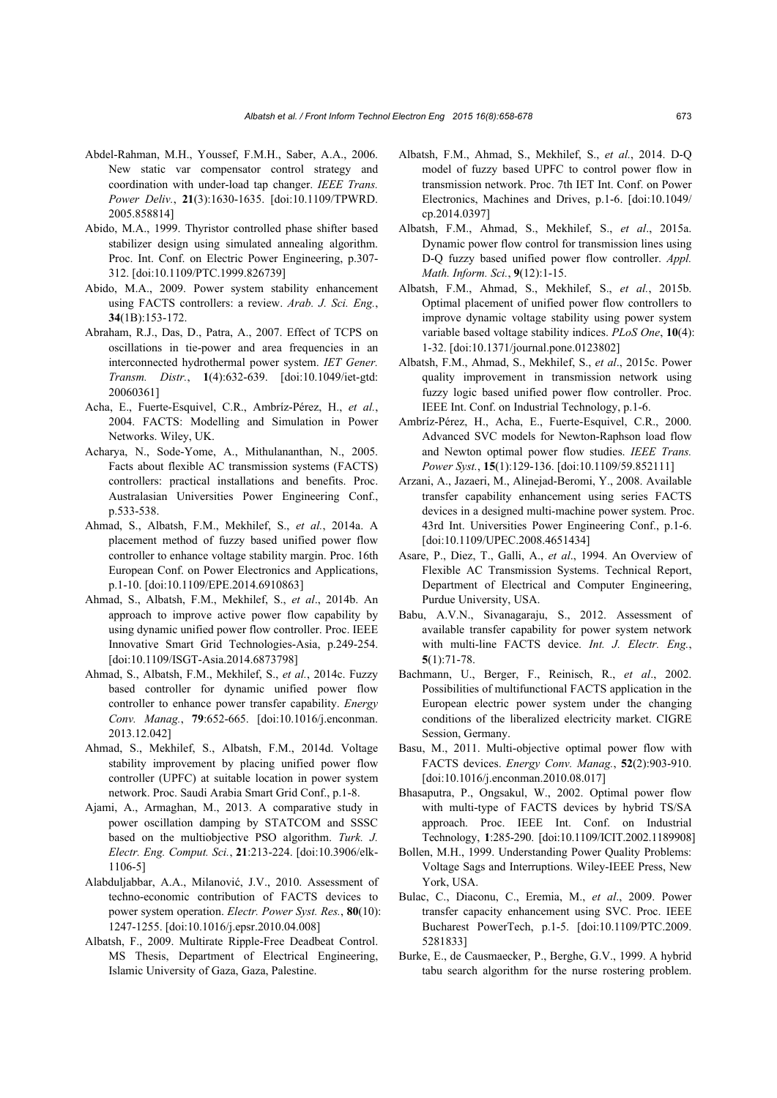- Abdel-Rahman, M.H., Youssef, F.M.H., Saber, A.A., 2006. New static var compensator control strategy and coordination with under-load tap changer. *IEEE Trans. Power Deliv.*, **21**(3):1630-1635. [doi:10.1109/TPWRD. 2005.858814]
- Abido, M.A., 1999. Thyristor controlled phase shifter based stabilizer design using simulated annealing algorithm. Proc. Int. Conf. on Electric Power Engineering, p.307- 312. [doi:10.1109/PTC.1999.826739]
- Abido, M.A., 2009. Power system stability enhancement using FACTS controllers: a review. *Arab. J. Sci. Eng.*, **34**(1B):153-172.
- Abraham, R.J., Das, D., Patra, A., 2007. Effect of TCPS on oscillations in tie-power and area frequencies in an interconnected hydrothermal power system. *IET Gener. Transm. Distr.*, **1**(4):632-639. [doi:10.1049/iet-gtd: 20060361]
- Acha, E., Fuerte-Esquivel, C.R., Ambríz-Pérez, H., *et al.*, 2004. FACTS: Modelling and Simulation in Power Networks. Wiley, UK.
- Acharya, N., Sode-Yome, A., Mithulananthan, N., 2005. Facts about flexible AC transmission systems (FACTS) controllers: practical installations and benefits. Proc. Australasian Universities Power Engineering Conf., p.533-538.
- Ahmad, S., Albatsh, F.M., Mekhilef, S., *et al.*, 2014a. A placement method of fuzzy based unified power flow controller to enhance voltage stability margin. Proc. 16th European Conf. on Power Electronics and Applications, p.1-10. [doi:10.1109/EPE.2014.6910863]
- Ahmad, S., Albatsh, F.M., Mekhilef, S., *et al*., 2014b. An approach to improve active power flow capability by using dynamic unified power flow controller. Proc. IEEE Innovative Smart Grid Technologies-Asia, p.249-254. [doi:10.1109/ISGT-Asia.2014.6873798]
- Ahmad, S., Albatsh, F.M., Mekhilef, S., *et al.*, 2014c. Fuzzy based controller for dynamic unified power flow controller to enhance power transfer capability. *Energy Conv. Manag.*, **79**:652-665. [doi:10.1016/j.enconman. 2013.12.042]
- Ahmad, S., Mekhilef, S., Albatsh, F.M., 2014d. Voltage stability improvement by placing unified power flow controller (UPFC) at suitable location in power system network. Proc. Saudi Arabia Smart Grid Conf., p.1-8.
- Ajami, A., Armaghan, M., 2013. A comparative study in power oscillation damping by STATCOM and SSSC based on the multiobjective PSO algorithm. *Turk. J. Electr. Eng. Comput. Sci.*, **21**:213-224. [doi:10.3906/elk-1106-5]
- Alabduljabbar, A.A., Milanović, J.V., 2010. Assessment of techno-economic contribution of FACTS devices to power system operation. *Electr. Power Syst. Res.*, **80**(10): 1247-1255. [doi:10.1016/j.epsr.2010.04.008]
- Albatsh, F., 2009. Multirate Ripple-Free Deadbeat Control. MS Thesis, Department of Electrical Engineering, Islamic University of Gaza, Gaza, Palestine.
- Albatsh, F.M., Ahmad, S., Mekhilef, S., *et al.*, 2014. D-Q model of fuzzy based UPFC to control power flow in transmission network. Proc. 7th IET Int. Conf. on Power Electronics, Machines and Drives, p.1-6. [doi:10.1049/ cp.2014.0397]
- Albatsh, F.M., Ahmad, S., Mekhilef, S., *et al*., 2015a. Dynamic power flow control for transmission lines using D-Q fuzzy based unified power flow controller. *Appl. Math. Inform. Sci.*, **9**(12):1-15.
- Albatsh, F.M., Ahmad, S., Mekhilef, S., *et al.*, 2015b. Optimal placement of unified power flow controllers to improve dynamic voltage stability using power system variable based voltage stability indices. *PLoS One*, **10**(4): 1-32. [doi:10.1371/journal.pone.0123802]
- Albatsh, F.M., Ahmad, S., Mekhilef, S., *et al*., 2015c. Power quality improvement in transmission network using fuzzy logic based unified power flow controller. Proc. IEEE Int. Conf. on Industrial Technology, p.1-6.
- Ambríz-Pérez, H., Acha, E., Fuerte-Esquivel, C.R., 2000. Advanced SVC models for Newton-Raphson load flow and Newton optimal power flow studies. *IEEE Trans. Power Syst.*, **15**(1):129-136. [doi:10.1109/59.852111]
- Arzani, A., Jazaeri, M., Alinejad-Beromi, Y., 2008. Available transfer capability enhancement using series FACTS devices in a designed multi-machine power system. Proc. 43rd Int. Universities Power Engineering Conf., p.1-6. [doi:10.1109/UPEC.2008.4651434]
- Asare, P., Diez, T., Galli, A., *et al*., 1994. An Overview of Flexible AC Transmission Systems. Technical Report, Department of Electrical and Computer Engineering, Purdue University, USA.
- Babu, A.V.N., Sivanagaraju, S., 2012. Assessment of available transfer capability for power system network with multi-line FACTS device. *Int. J. Electr. Eng.*, **5**(1):71-78.
- Bachmann, U., Berger, F., Reinisch, R., *et al*., 2002. Possibilities of multifunctional FACTS application in the European electric power system under the changing conditions of the liberalized electricity market. CIGRE Session, Germany.
- Basu, M., 2011. Multi-objective optimal power flow with FACTS devices. *Energy Conv. Manag.*, **52**(2):903-910. [doi:10.1016/j.enconman.2010.08.017]
- Bhasaputra, P., Ongsakul, W., 2002. Optimal power flow with multi-type of FACTS devices by hybrid TS/SA approach. Proc. IEEE Int. Conf. on Industrial Technology, **1**:285-290. [doi:10.1109/ICIT.2002.1189908]
- Bollen, M.H., 1999. Understanding Power Quality Problems: Voltage Sags and Interruptions. Wiley-IEEE Press, New York, USA.
- Bulac, C., Diaconu, C., Eremia, M., *et al*., 2009. Power transfer capacity enhancement using SVC. Proc. IEEE Bucharest PowerTech, p.1-5. [doi:10.1109/PTC.2009. 5281833]
- Burke, E., de Causmaecker, P., Berghe, G.V., 1999. A hybrid tabu search algorithm for the nurse rostering problem.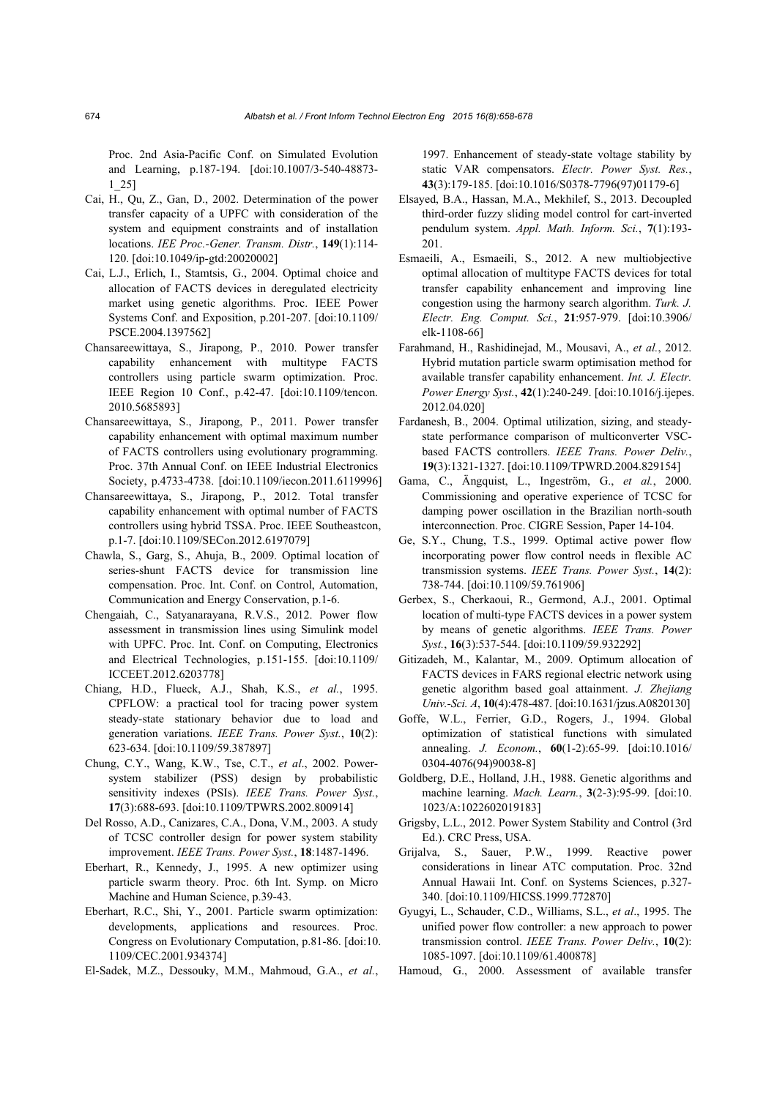Proc. 2nd Asia-Pacific Conf. on Simulated Evolution and Learning, p.187-194. [doi:10.1007/3-540-48873- 1\_25]

- Cai, H., Qu, Z., Gan, D., 2002. Determination of the power transfer capacity of a UPFC with consideration of the system and equipment constraints and of installation locations. *IEE Proc.-Gener. Transm. Distr.*, **149**(1):114- 120. [doi:10.1049/ip-gtd:20020002]
- Cai, L.J., Erlich, I., Stamtsis, G., 2004. Optimal choice and allocation of FACTS devices in deregulated electricity market using genetic algorithms. Proc. IEEE Power Systems Conf. and Exposition, p.201-207. [doi:10.1109/ PSCE.2004.1397562]
- Chansareewittaya, S., Jirapong, P., 2010. Power transfer capability enhancement with multitype FACTS controllers using particle swarm optimization. Proc. IEEE Region 10 Conf., p.42-47. [doi:10.1109/tencon. 2010.5685893]
- Chansareewittaya, S., Jirapong, P., 2011. Power transfer capability enhancement with optimal maximum number of FACTS controllers using evolutionary programming. Proc. 37th Annual Conf. on IEEE Industrial Electronics Society, p.4733-4738. [doi:10.1109/iecon.2011.6119996]
- Chansareewittaya, S., Jirapong, P., 2012. Total transfer capability enhancement with optimal number of FACTS controllers using hybrid TSSA. Proc. IEEE Southeastcon, p.1-7. [doi:10.1109/SECon.2012.6197079]
- Chawla, S., Garg, S., Ahuja, B., 2009. Optimal location of series-shunt FACTS device for transmission line compensation. Proc. Int. Conf. on Control, Automation, Communication and Energy Conservation, p.1-6.
- Chengaiah, C., Satyanarayana, R.V.S., 2012. Power flow assessment in transmission lines using Simulink model with UPFC. Proc. Int. Conf. on Computing, Electronics and Electrical Technologies, p.151-155. [doi:10.1109/ ICCEET.2012.6203778]
- Chiang, H.D., Flueck, A.J., Shah, K.S., *et al.*, 1995. CPFLOW: a practical tool for tracing power system steady-state stationary behavior due to load and generation variations. *IEEE Trans. Power Syst.*, **10**(2): 623-634. [doi:10.1109/59.387897]
- Chung, C.Y., Wang, K.W., Tse, C.T., *et al*., 2002. Powersystem stabilizer (PSS) design by probabilistic sensitivity indexes (PSIs). *IEEE Trans. Power Syst.*, **17**(3):688-693. [doi:10.1109/TPWRS.2002.800914]
- Del Rosso, A.D., Canizares, C.A., Dona, V.M., 2003. A study of TCSC controller design for power system stability improvement. *IEEE Trans. Power Syst.*, **18**:1487-1496.
- Eberhart, R., Kennedy, J., 1995. A new optimizer using particle swarm theory. Proc. 6th Int. Symp. on Micro Machine and Human Science, p.39-43.
- Eberhart, R.C., Shi, Y., 2001. Particle swarm optimization: developments, applications and resources. Proc. Congress on Evolutionary Computation, p.81-86. [doi:10. 1109/CEC.2001.934374]
- El-Sadek, M.Z., Dessouky, M.M., Mahmoud, G.A., *et al.*,

1997. Enhancement of steady-state voltage stability by static VAR compensators. *Electr. Power Syst. Res.*, **43**(3):179-185. [doi:10.1016/S0378-7796(97)01179-6]

- Elsayed, B.A., Hassan, M.A., Mekhilef, S., 2013. Decoupled third-order fuzzy sliding model control for cart-inverted pendulum system. *Appl. Math. Inform. Sci.*, **7**(1):193- 201.
- Esmaeili, A., Esmaeili, S., 2012. A new multiobjective optimal allocation of multitype FACTS devices for total transfer capability enhancement and improving line congestion using the harmony search algorithm. *Turk. J. Electr. Eng. Comput. Sci.*, **21**:957-979. [doi:10.3906/ elk-1108-66]
- Farahmand, H., Rashidinejad, M., Mousavi, A., *et al.*, 2012. Hybrid mutation particle swarm optimisation method for available transfer capability enhancement. *Int. J. Electr. Power Energy Syst.*, **42**(1):240-249. [doi:10.1016/j.ijepes. 2012.04.020]
- Fardanesh, B., 2004. Optimal utilization, sizing, and steadystate performance comparison of multiconverter VSCbased FACTS controllers. *IEEE Trans. Power Deliv.*, **19**(3):1321-1327. [doi:10.1109/TPWRD.2004.829154]
- Gama, C., Ängquist, L., Ingeström, G., *et al.*, 2000. Commissioning and operative experience of TCSC for damping power oscillation in the Brazilian north-south interconnection. Proc. CIGRE Session, Paper 14-104.
- Ge, S.Y., Chung, T.S., 1999. Optimal active power flow incorporating power flow control needs in flexible AC transmission systems. *IEEE Trans. Power Syst.*, **14**(2): 738-744. [doi:10.1109/59.761906]
- Gerbex, S., Cherkaoui, R., Germond, A.J., 2001. Optimal location of multi-type FACTS devices in a power system by means of genetic algorithms. *IEEE Trans. Power Syst.*, **16**(3):537-544. [doi:10.1109/59.932292]
- Gitizadeh, M., Kalantar, M., 2009. Optimum allocation of FACTS devices in FARS regional electric network using genetic algorithm based goal attainment. *J. Zhejiang Univ.-Sci. A*, **10**(4):478-487. [doi:10.1631/jzus.A0820130]
- Goffe, W.L., Ferrier, G.D., Rogers, J., 1994. Global optimization of statistical functions with simulated annealing. *J. Econom.*, **60**(1-2):65-99. [doi:10.1016/ 0304-4076(94)90038-8]
- Goldberg, D.E., Holland, J.H., 1988. Genetic algorithms and machine learning. *Mach. Learn.*, **3**(2-3):95-99. [doi:10. 1023/A:1022602019183]
- Grigsby, L.L., 2012. Power System Stability and Control (3rd Ed.). CRC Press, USA.
- Grijalva, S., Sauer, P.W., 1999. Reactive power considerations in linear ATC computation. Proc. 32nd Annual Hawaii Int. Conf. on Systems Sciences, p.327- 340. [doi:10.1109/HICSS.1999.772870]
- Gyugyi, L., Schauder, C.D., Williams, S.L., *et al*., 1995. The unified power flow controller: a new approach to power transmission control. *IEEE Trans. Power Deliv.*, **10**(2): 1085-1097. [doi:10.1109/61.400878]
- Hamoud, G., 2000. Assessment of available transfer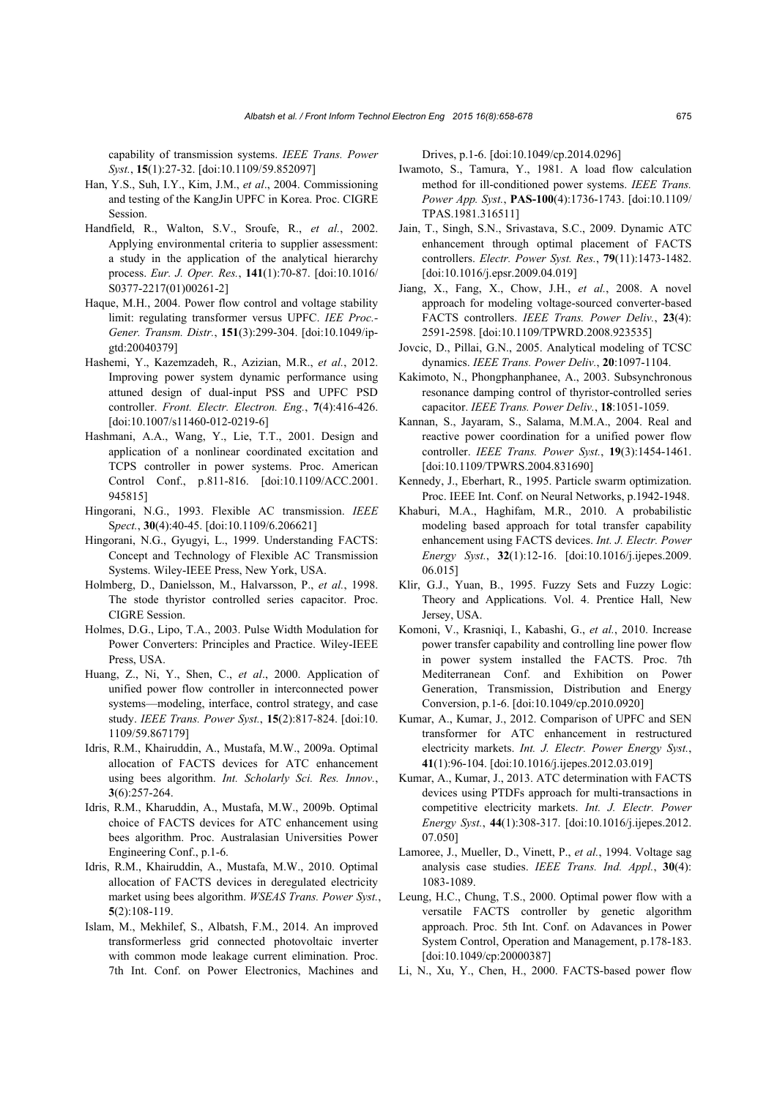capability of transmission systems. *IEEE Trans. Power Syst.*, **15**(1):27-32. [doi:10.1109/59.852097]

- Han, Y.S., Suh, I.Y., Kim, J.M., *et al*., 2004. Commissioning and testing of the KangJin UPFC in Korea. Proc. CIGRE Session.
- Handfield, R., Walton, S.V., Sroufe, R., *et al.*, 2002. Applying environmental criteria to supplier assessment: a study in the application of the analytical hierarchy process. *Eur. J. Oper. Res.*, **141**(1):70-87. [doi:10.1016/ S0377-2217(01)00261-2]
- Haque, M.H., 2004. Power flow control and voltage stability limit: regulating transformer versus UPFC. *IEE Proc.- Gener. Transm. Distr.*, **151**(3):299-304. [doi:10.1049/ipgtd:20040379]
- Hashemi, Y., Kazemzadeh, R., Azizian, M.R., *et al.*, 2012. Improving power system dynamic performance using attuned design of dual-input PSS and UPFC PSD controller. *Front. Electr. Electron. Eng.*, **7**(4):416-426. [doi:10.1007/s11460-012-0219-6]
- Hashmani, A.A., Wang, Y., Lie, T.T., 2001. Design and application of a nonlinear coordinated excitation and TCPS controller in power systems. Proc. American Control Conf., p.811-816. [doi:10.1109/ACC.2001. 945815]
- Hingorani, N.G., 1993. Flexible AC transmission. *IEEE* S*pect.*, **30**(4):40-45. [doi:10.1109/6.206621]
- Hingorani, N.G., Gyugyi, L., 1999. Understanding FACTS: Concept and Technology of Flexible AC Transmission Systems. Wiley-IEEE Press, New York, USA.
- Holmberg, D., Danielsson, M., Halvarsson, P., *et al.*, 1998. The stode thyristor controlled series capacitor. Proc. CIGRE Session.
- Holmes, D.G., Lipo, T.A., 2003. Pulse Width Modulation for Power Converters: Principles and Practice. Wiley-IEEE Press, USA.
- Huang, Z., Ni, Y., Shen, C., *et al*., 2000. Application of unified power flow controller in interconnected power systems—modeling, interface, control strategy, and case study. *IEEE Trans. Power Syst.*, **15**(2):817-824. [doi:10. 1109/59.867179]
- Idris, R.M., Khairuddin, A., Mustafa, M.W., 2009a. Optimal allocation of FACTS devices for ATC enhancement using bees algorithm. *Int. Scholarly Sci. Res. Innov.*, **3**(6):257-264.
- Idris, R.M., Kharuddin, A., Mustafa, M.W., 2009b. Optimal choice of FACTS devices for ATC enhancement using bees algorithm. Proc. Australasian Universities Power Engineering Conf., p.1-6.
- Idris, R.M., Khairuddin, A., Mustafa, M.W., 2010. Optimal allocation of FACTS devices in deregulated electricity market using bees algorithm. *WSEAS Trans. Power Syst.*, **5**(2):108-119.
- Islam, M., Mekhilef, S., Albatsh, F.M., 2014. An improved transformerless grid connected photovoltaic inverter with common mode leakage current elimination. Proc. 7th Int. Conf. on Power Electronics, Machines and

Drives, p.1-6. [doi:10.1049/cp.2014.0296]

- Iwamoto, S., Tamura, Y., 1981. A load flow calculation method for ill-conditioned power systems. *IEEE Trans. Power App. Syst.*, **PAS-100**(4):1736-1743. [doi:10.1109/ TPAS.1981.316511]
- Jain, T., Singh, S.N., Srivastava, S.C., 2009. Dynamic ATC enhancement through optimal placement of FACTS controllers. *Electr. Power Syst. Res.*, **79**(11):1473-1482. [doi:10.1016/j.epsr.2009.04.019]
- Jiang, X., Fang, X., Chow, J.H., *et al.*, 2008. A novel approach for modeling voltage-sourced converter-based FACTS controllers. *IEEE Trans. Power Deliv.*, **23**(4): 2591-2598. [doi:10.1109/TPWRD.2008.923535]
- Jovcic, D., Pillai, G.N., 2005. Analytical modeling of TCSC dynamics. *IEEE Trans. Power Deliv.*, **20**:1097-1104.
- Kakimoto, N., Phongphanphanee, A., 2003. Subsynchronous resonance damping control of thyristor-controlled series capacitor. *IEEE Trans. Power Deliv.*, **18**:1051-1059.
- Kannan, S., Jayaram, S., Salama, M.M.A., 2004. Real and reactive power coordination for a unified power flow controller. *IEEE Trans. Power Syst.*, **19**(3):1454-1461. [doi:10.1109/TPWRS.2004.831690]
- Kennedy, J., Eberhart, R., 1995. Particle swarm optimization. Proc. IEEE Int. Conf. on Neural Networks, p.1942-1948.
- Khaburi, M.A., Haghifam, M.R., 2010. A probabilistic modeling based approach for total transfer capability enhancement using FACTS devices. *Int. J. Electr. Power Energy Syst.*, **32**(1):12-16. [doi:10.1016/j.ijepes.2009. 06.015]
- Klir, G.J., Yuan, B., 1995. Fuzzy Sets and Fuzzy Logic: Theory and Applications. Vol. 4. Prentice Hall, New Jersey, USA.
- Komoni, V., Krasniqi, I., Kabashi, G., *et al.*, 2010. Increase power transfer capability and controlling line power flow in power system installed the FACTS. Proc. 7th Mediterranean Conf. and Exhibition on Power Generation, Transmission, Distribution and Energy Conversion, p.1-6. [doi:10.1049/cp.2010.0920]
- Kumar, A., Kumar, J., 2012. Comparison of UPFC and SEN transformer for ATC enhancement in restructured electricity markets. *Int. J. Electr. Power Energy Syst.*, **41**(1):96-104. [doi:10.1016/j.ijepes.2012.03.019]
- Kumar, A., Kumar, J., 2013. ATC determination with FACTS devices using PTDFs approach for multi-transactions in competitive electricity markets. *Int. J. Electr. Power Energy Syst.*, **44**(1):308-317. [doi:10.1016/j.ijepes.2012. 07.050]
- Lamoree, J., Mueller, D., Vinett, P., *et al.*, 1994. Voltage sag analysis case studies. *IEEE Trans. Ind. Appl.*, **30**(4): 1083-1089.
- Leung, H.C., Chung, T.S., 2000. Optimal power flow with a versatile FACTS controller by genetic algorithm approach. Proc. 5th Int. Conf. on Adavances in Power System Control, Operation and Management, p.178-183. [doi:10.1049/cp:20000387]
- Li, N., Xu, Y., Chen, H., 2000. FACTS-based power flow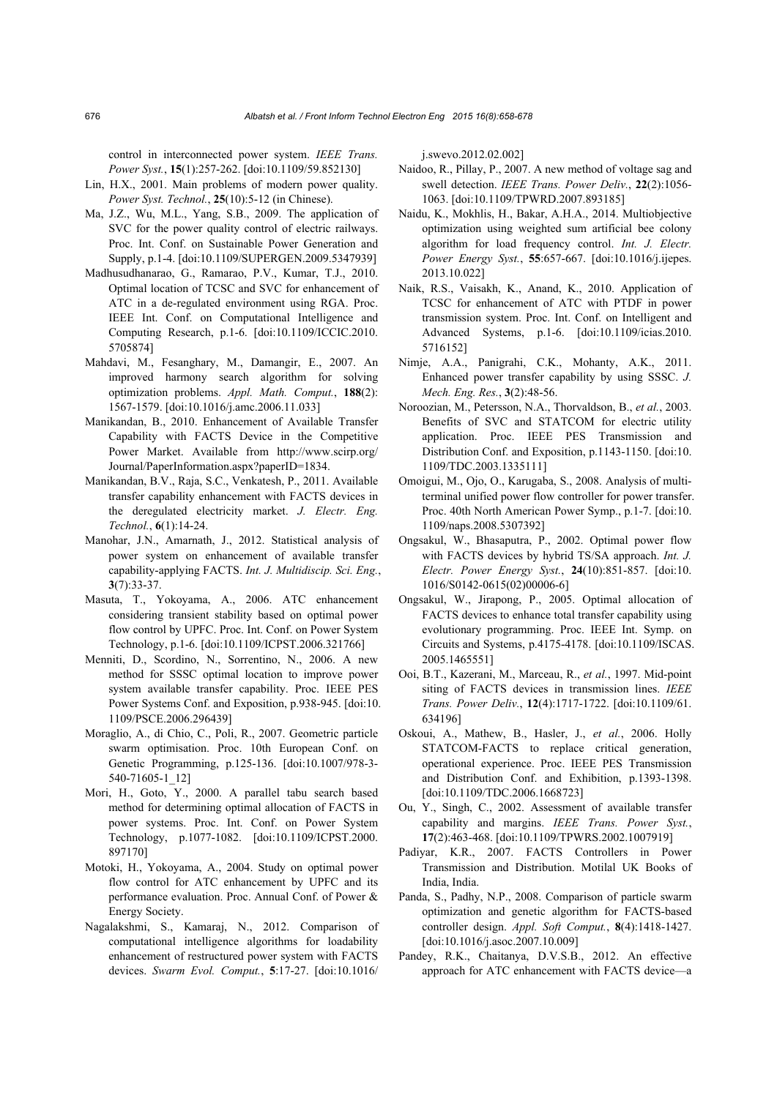control in interconnected power system. *IEEE Trans. Power Syst.*, **15**(1):257-262. [doi:10.1109/59.852130]

- Lin, H.X., 2001. Main problems of modern power quality. *Power Syst. Technol.*, **25**(10):5-12 (in Chinese).
- Ma, J.Z., Wu, M.L., Yang, S.B., 2009. The application of SVC for the power quality control of electric railways. Proc. Int. Conf. on Sustainable Power Generation and Supply, p.1-4. [doi:10.1109/SUPERGEN.2009.5347939]
- Madhusudhanarao, G., Ramarao, P.V., Kumar, T.J., 2010. Optimal location of TCSC and SVC for enhancement of ATC in a de-regulated environment using RGA. Proc. IEEE Int. Conf. on Computational Intelligence and Computing Research, p.1-6. [doi:10.1109/ICCIC.2010. 5705874]
- Mahdavi, M., Fesanghary, M., Damangir, E., 2007. An improved harmony search algorithm for solving optimization problems. *Appl. Math. Comput.*, **188**(2): 1567-1579. [doi:10.1016/j.amc.2006.11.033]
- Manikandan, B., 2010. Enhancement of Available Transfer Capability with FACTS Device in the Competitive Power Market. Available from http://www.scirp.org/ Journal/PaperInformation.aspx?paperID=1834.
- Manikandan, B.V., Raja, S.C., Venkatesh, P., 2011. Available transfer capability enhancement with FACTS devices in the deregulated electricity market. *J. Electr. Eng. Technol.*, **6**(1):14-24.
- Manohar, J.N., Amarnath, J., 2012. Statistical analysis of power system on enhancement of available transfer capability-applying FACTS. *Int. J. Multidiscip. Sci. Eng.*, **3**(7):33-37.
- Masuta, T., Yokoyama, A., 2006. ATC enhancement considering transient stability based on optimal power flow control by UPFC. Proc. Int. Conf. on Power System Technology, p.1-6. [doi:10.1109/ICPST.2006.321766]
- Menniti, D., Scordino, N., Sorrentino, N., 2006. A new method for SSSC optimal location to improve power system available transfer capability. Proc. IEEE PES Power Systems Conf. and Exposition, p.938-945. [doi:10. 1109/PSCE.2006.296439]
- Moraglio, A., di Chio, C., Poli, R., 2007. Geometric particle swarm optimisation. Proc. 10th European Conf. on Genetic Programming, p.125-136. [doi:10.1007/978-3- 540-71605-1\_12]
- Mori, H., Goto, Y., 2000. A parallel tabu search based method for determining optimal allocation of FACTS in power systems. Proc. Int. Conf. on Power System Technology, p.1077-1082. [doi:10.1109/ICPST.2000. 897170]
- Motoki, H., Yokoyama, A., 2004. Study on optimal power flow control for ATC enhancement by UPFC and its performance evaluation. Proc. Annual Conf. of Power & Energy Society.
- Nagalakshmi, S., Kamaraj, N., 2012. Comparison of computational intelligence algorithms for loadability enhancement of restructured power system with FACTS devices. *Swarm Evol. Comput.*, **5**:17-27. [doi:10.1016/

j.swevo.2012.02.002]

- Naidoo, R., Pillay, P., 2007. A new method of voltage sag and swell detection. *IEEE Trans. Power Deliv.*, **22**(2):1056- 1063. [doi:10.1109/TPWRD.2007.893185]
- Naidu, K., Mokhlis, H., Bakar, A.H.A., 2014. Multiobjective optimization using weighted sum artificial bee colony algorithm for load frequency control. *Int. J. Electr. Power Energy Syst.*, **55**:657-667. [doi:10.1016/j.ijepes. 2013.10.022]
- Naik, R.S., Vaisakh, K., Anand, K., 2010. Application of TCSC for enhancement of ATC with PTDF in power transmission system. Proc. Int. Conf. on Intelligent and Advanced Systems, p.1-6. [doi:10.1109/icias.2010. 5716152]
- Nimje, A.A., Panigrahi, C.K., Mohanty, A.K., 2011. Enhanced power transfer capability by using SSSC. *J. Mech. Eng. Res.*, **3**(2):48-56.
- Noroozian, M., Petersson, N.A., Thorvaldson, B., *et al.*, 2003. Benefits of SVC and STATCOM for electric utility application. Proc. IEEE PES Transmission and Distribution Conf. and Exposition, p.1143-1150. [doi:10. 1109/TDC.2003.1335111]
- Omoigui, M., Ojo, O., Karugaba, S., 2008. Analysis of multiterminal unified power flow controller for power transfer. Proc. 40th North American Power Symp., p.1-7. [doi:10. 1109/naps.2008.5307392]
- Ongsakul, W., Bhasaputra, P., 2002. Optimal power flow with FACTS devices by hybrid TS/SA approach. *Int. J. Electr. Power Energy Syst.*, **24**(10):851-857. [doi:10. 1016/S0142-0615(02)00006-6]
- Ongsakul, W., Jirapong, P., 2005. Optimal allocation of FACTS devices to enhance total transfer capability using evolutionary programming. Proc. IEEE Int. Symp. on Circuits and Systems, p.4175-4178. [doi:10.1109/ISCAS. 2005.1465551]
- Ooi, B.T., Kazerani, M., Marceau, R., *et al.*, 1997. Mid-point siting of FACTS devices in transmission lines. *IEEE Trans. Power Deliv.*, **12**(4):1717-1722. [doi:10.1109/61. 634196]
- Oskoui, A., Mathew, B., Hasler, J., *et al.*, 2006. Holly STATCOM-FACTS to replace critical generation, operational experience. Proc. IEEE PES Transmission and Distribution Conf. and Exhibition, p.1393-1398. [doi:10.1109/TDC.2006.1668723]
- Ou, Y., Singh, C., 2002. Assessment of available transfer capability and margins. *IEEE Trans. Power Syst.*, **17**(2):463-468. [doi:10.1109/TPWRS.2002.1007919]
- Padiyar, K.R., 2007. FACTS Controllers in Power Transmission and Distribution. Motilal UK Books of India, India.
- Panda, S., Padhy, N.P., 2008. Comparison of particle swarm optimization and genetic algorithm for FACTS-based controller design. *Appl. Soft Comput.*, **8**(4):1418-1427. [doi:10.1016/j.asoc.2007.10.009]
- Pandey, R.K., Chaitanya, D.V.S.B., 2012. An effective approach for ATC enhancement with FACTS device—a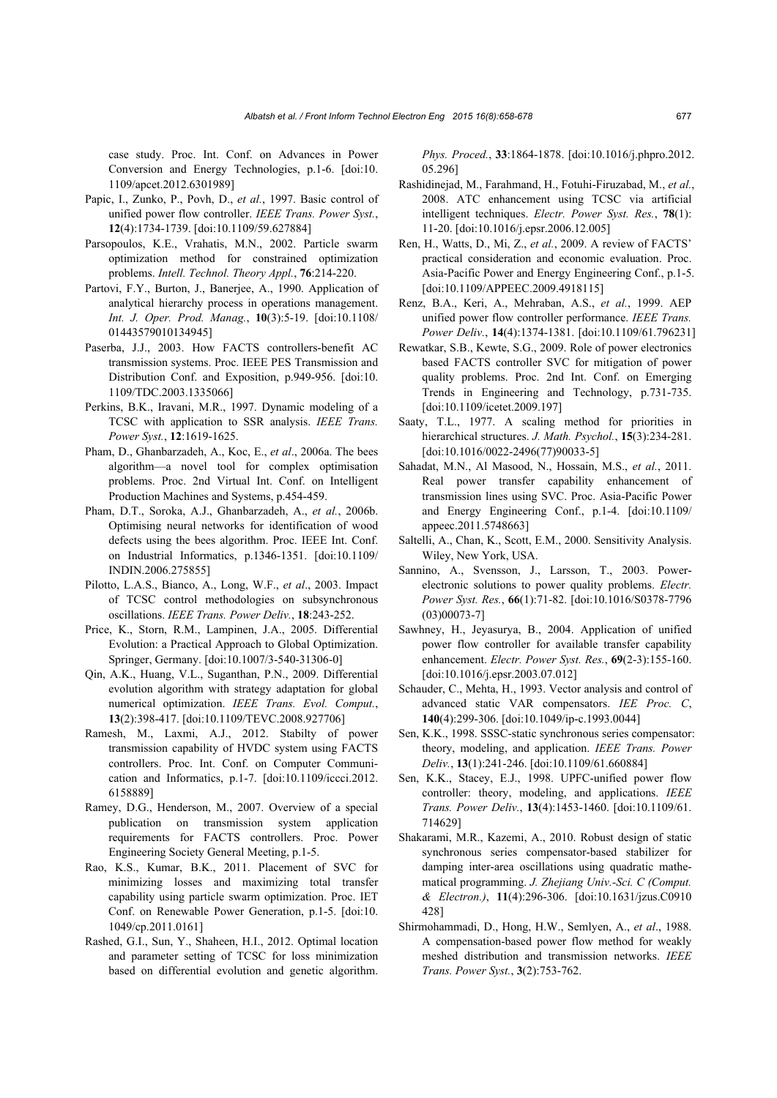case study. Proc. Int. Conf. on Advances in Power Conversion and Energy Technologies, p.1-6. [doi:10. 1109/apcet.2012.6301989]

- Papic, I., Zunko, P., Povh, D., *et al.*, 1997. Basic control of unified power flow controller. *IEEE Trans. Power Syst.*, **12**(4):1734-1739. [doi:10.1109/59.627884]
- Parsopoulos, K.E., Vrahatis, M.N., 2002. Particle swarm optimization method for constrained optimization problems. *Intell. Technol. Theory Appl.*, **76**:214-220.
- Partovi, F.Y., Burton, J., Banerjee, A., 1990. Application of analytical hierarchy process in operations management. *Int. J. Oper. Prod. Manag.*, **10**(3):5-19. [doi:10.1108/ 01443579010134945]
- Paserba, J.J., 2003. How FACTS controllers-benefit AC transmission systems. Proc. IEEE PES Transmission and Distribution Conf. and Exposition, p.949-956. [doi:10. 1109/TDC.2003.1335066]
- Perkins, B.K., Iravani, M.R., 1997. Dynamic modeling of a TCSC with application to SSR analysis. *IEEE Trans. Power Syst.*, **12**:1619-1625.
- Pham, D., Ghanbarzadeh, A., Koc, E., *et al*., 2006a. The bees algorithm—a novel tool for complex optimisation problems. Proc. 2nd Virtual Int. Conf. on Intelligent Production Machines and Systems, p.454-459.
- Pham, D.T., Soroka, A.J., Ghanbarzadeh, A., *et al.*, 2006b. Optimising neural networks for identification of wood defects using the bees algorithm. Proc. IEEE Int. Conf. on Industrial Informatics, p.1346-1351. [doi:10.1109/ INDIN.2006.275855]
- Pilotto, L.A.S., Bianco, A., Long, W.F., *et al*., 2003. Impact of TCSC control methodologies on subsynchronous oscillations. *IEEE Trans. Power Deliv.*, **18**:243-252.
- Price, K., Storn, R.M., Lampinen, J.A., 2005. Differential Evolution: a Practical Approach to Global Optimization. Springer, Germany. [doi:10.1007/3-540-31306-0]
- Qin, A.K., Huang, V.L., Suganthan, P.N., 2009. Differential evolution algorithm with strategy adaptation for global numerical optimization. *IEEE Trans. Evol. Comput.*, **13**(2):398-417. [doi:10.1109/TEVC.2008.927706]
- Ramesh, M., Laxmi, A.J., 2012. Stabilty of power transmission capability of HVDC system using FACTS controllers. Proc. Int. Conf. on Computer Communication and Informatics, p.1-7. [doi:10.1109/iccci.2012. 6158889]
- Ramey, D.G., Henderson, M., 2007. Overview of a special publication on transmission system application requirements for FACTS controllers. Proc. Power Engineering Society General Meeting, p.1-5.
- Rao, K.S., Kumar, B.K., 2011. Placement of SVC for minimizing losses and maximizing total transfer capability using particle swarm optimization. Proc. IET Conf. on Renewable Power Generation, p.1-5. [doi:10. 1049/cp.2011.0161]
- Rashed, G.I., Sun, Y., Shaheen, H.I., 2012. Optimal location and parameter setting of TCSC for loss minimization based on differential evolution and genetic algorithm.

*Phys. Proced.*, **33**:1864-1878. [doi:10.1016/j.phpro.2012. 05.296]

- Rashidinejad, M., Farahmand, H., Fotuhi-Firuzabad, M., *et al.*, 2008. ATC enhancement using TCSC via artificial intelligent techniques. *Electr. Power Syst. Res.*, **78**(1): 11-20. [doi:10.1016/j.epsr.2006.12.005]
- Ren, H., Watts, D., Mi, Z., *et al.*, 2009. A review of FACTS' practical consideration and economic evaluation. Proc. Asia-Pacific Power and Energy Engineering Conf., p.1-5. [doi:10.1109/APPEEC.2009.4918115]
- Renz, B.A., Keri, A., Mehraban, A.S., *et al.*, 1999. AEP unified power flow controller performance. *IEEE Trans. Power Deliv.*, **14**(4):1374-1381. [doi:10.1109/61.796231]
- Rewatkar, S.B., Kewte, S.G., 2009. Role of power electronics based FACTS controller SVC for mitigation of power quality problems. Proc. 2nd Int. Conf. on Emerging Trends in Engineering and Technology, p.731-735. [doi:10.1109/icetet.2009.197]
- Saaty, T.L., 1977. A scaling method for priorities in hierarchical structures. *J. Math. Psychol.*, **15**(3):234-281. [doi:10.1016/0022-2496(77)90033-5]
- Sahadat, M.N., Al Masood, N., Hossain, M.S., *et al.*, 2011. Real power transfer capability enhancement of transmission lines using SVC. Proc. Asia-Pacific Power and Energy Engineering Conf., p.1-4. [doi:10.1109/ appeec.2011.5748663]
- Saltelli, A., Chan, K., Scott, E.M., 2000. Sensitivity Analysis. Wiley, New York, USA.
- Sannino, A., Svensson, J., Larsson, T., 2003. Powerelectronic solutions to power quality problems. *Electr. Power Syst. Res.*, **66**(1):71-82. [doi:10.1016/S0378-7796 (03)00073-7]
- Sawhney, H., Jeyasurya, B., 2004. Application of unified power flow controller for available transfer capability enhancement. *Electr. Power Syst. Res.*, **69**(2-3):155-160. [doi:10.1016/j.epsr.2003.07.012]
- Schauder, C., Mehta, H., 1993. Vector analysis and control of advanced static VAR compensators. *IEE Proc. C*, **140**(4):299-306. [doi:10.1049/ip-c.1993.0044]
- Sen, K.K., 1998. SSSC-static synchronous series compensator: theory, modeling, and application. *IEEE Trans. Power Deliv.*, **13**(1):241-246. [doi:10.1109/61.660884]
- Sen, K.K., Stacey, E.J., 1998. UPFC-unified power flow controller: theory, modeling, and applications. *IEEE Trans. Power Deliv.*, **13**(4):1453-1460. [doi:10.1109/61. 714629]
- Shakarami, M.R., Kazemi, A., 2010. Robust design of static synchronous series compensator-based stabilizer for damping inter-area oscillations using quadratic mathematical programming. *J. Zhejiang Univ.-Sci. C (Comput. & Electron.)*, **11**(4):296-306. [doi:10.1631/jzus.C0910 428]
- Shirmohammadi, D., Hong, H.W., Semlyen, A., *et al*., 1988. A compensation-based power flow method for weakly meshed distribution and transmission networks. *IEEE Trans. Power Syst.*, **3**(2):753-762.